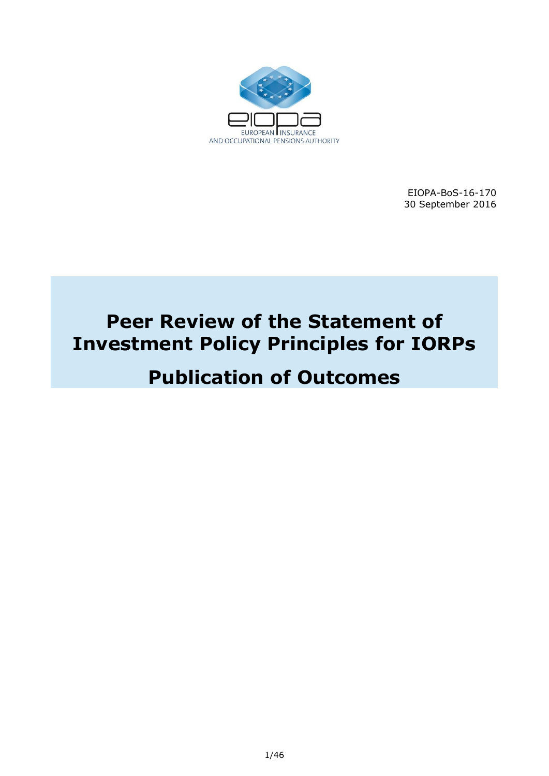

EIOPA-BoS-16-170 30 September 2016

# **Peer Review of the Statement of Investment Policy Principles for IORPs**

# **Publication of Outcomes**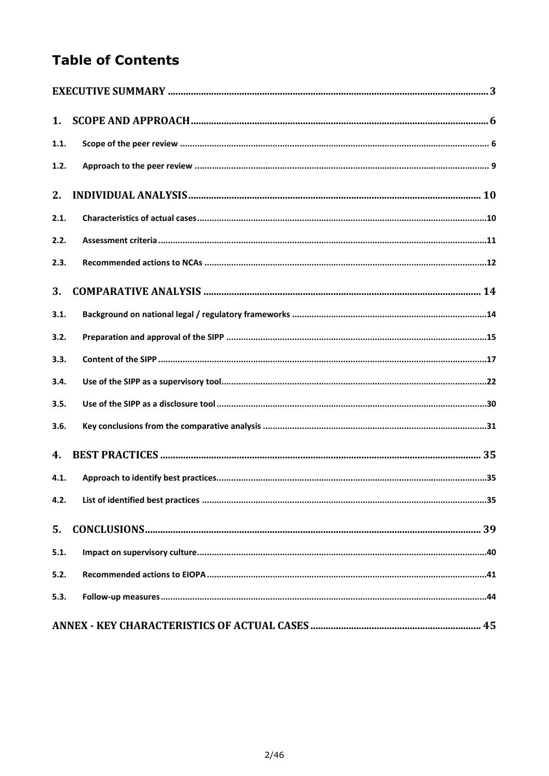# **Table of Contents**

| 1.   |  |
|------|--|
| 1.1. |  |
| 1.2. |  |
| 2.   |  |
| 2.1. |  |
| 2.2. |  |
| 2.3. |  |
| 3.   |  |
| 3.1. |  |
| 3.2. |  |
| 3.3. |  |
| 3.4. |  |
| 3.5. |  |
| 3.6. |  |
| 4.   |  |
| 4.1. |  |
| 4.2. |  |
| 5.   |  |
| 5.1. |  |
| 5.2. |  |
| 5.3. |  |
|      |  |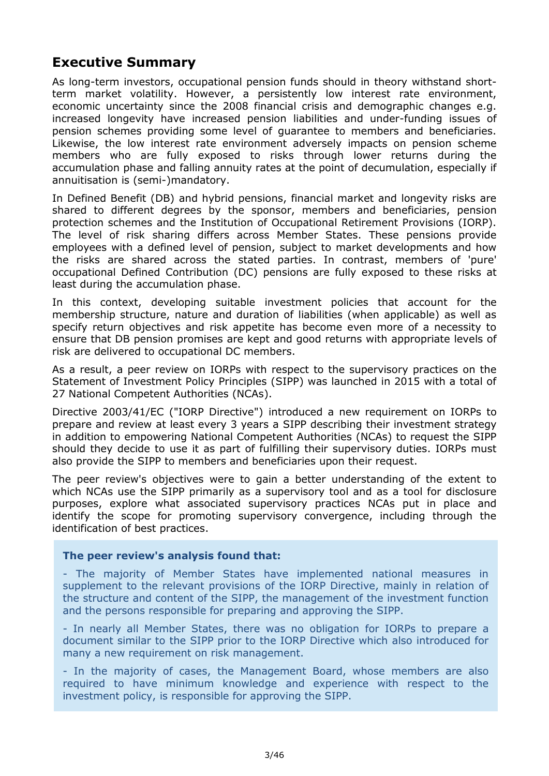## <span id="page-2-0"></span>**Executive Summary**

As long-term investors, occupational pension funds should in theory withstand shortterm market volatility. However, a persistently low interest rate environment, economic uncertainty since the 2008 financial crisis and demographic changes e.g. increased longevity have increased pension liabilities and under-funding issues of pension schemes providing some level of guarantee to members and beneficiaries. Likewise, the low interest rate environment adversely impacts on pension scheme members who are fully exposed to risks through lower returns during the accumulation phase and falling annuity rates at the point of decumulation, especially if annuitisation is (semi-)mandatory.

In Defined Benefit (DB) and hybrid pensions, financial market and longevity risks are shared to different degrees by the sponsor, members and beneficiaries, pension protection schemes and the Institution of Occupational Retirement Provisions (IORP). The level of risk sharing differs across Member States. These pensions provide employees with a defined level of pension, subject to market developments and how the risks are shared across the stated parties. In contrast, members of 'pure' occupational Defined Contribution (DC) pensions are fully exposed to these risks at least during the accumulation phase.

In this context, developing suitable investment policies that account for the membership structure, nature and duration of liabilities (when applicable) as well as specify return objectives and risk appetite has become even more of a necessity to ensure that DB pension promises are kept and good returns with appropriate levels of risk are delivered to occupational DC members.

As a result, a peer review on IORPs with respect to the supervisory practices on the Statement of Investment Policy Principles (SIPP) was launched in 2015 with a total of 27 National Competent Authorities (NCAs).

Directive 2003/41/EC ("IORP Directive") introduced a new requirement on IORPs to prepare and review at least every 3 years a SIPP describing their investment strategy in addition to empowering National Competent Authorities (NCAs) to request the SIPP should they decide to use it as part of fulfilling their supervisory duties. IORPs must also provide the SIPP to members and beneficiaries upon their request.

The peer review's objectives were to gain a better understanding of the extent to which NCAs use the SIPP primarily as a supervisory tool and as a tool for disclosure purposes, explore what associated supervisory practices NCAs put in place and identify the scope for promoting supervisory convergence, including through the identification of best practices.

#### **The peer review's analysis found that:**

- The majority of Member States have implemented national measures in supplement to the relevant provisions of the IORP Directive, mainly in relation of the structure and content of the SIPP, the management of the investment function and the persons responsible for preparing and approving the SIPP.

- In nearly all Member States, there was no obligation for IORPs to prepare a document similar to the SIPP prior to the IORP Directive which also introduced for many a new requirement on risk management.

- In the majority of cases, the Management Board, whose members are also required to have minimum knowledge and experience with respect to the investment policy, is responsible for approving the SIPP.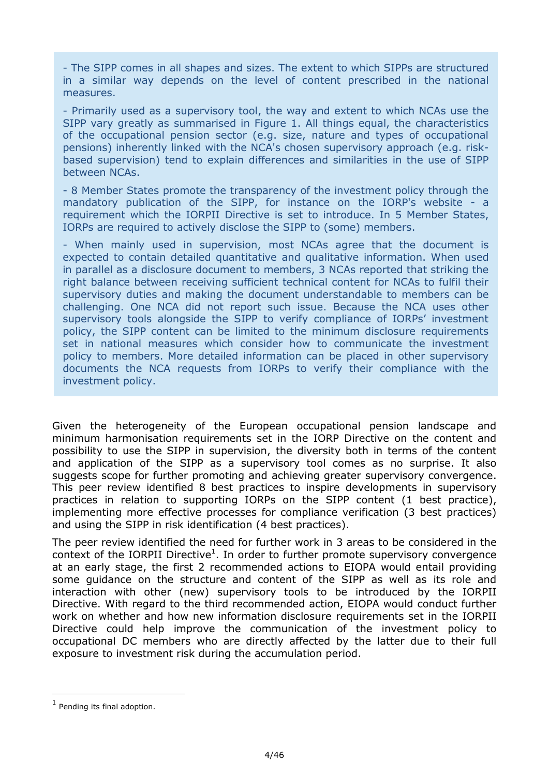- The SIPP comes in all shapes and sizes. The extent to which SIPPs are structured in a similar way depends on the level of content prescribed in the national measures.

- Primarily used as a supervisory tool, the way and extent to which NCAs use the SIPP vary greatly as summarised in Figure 1. All things equal, the characteristics of the occupational pension sector (e.g. size, nature and types of occupational pensions) inherently linked with the NCA's chosen supervisory approach (e.g. riskbased supervision) tend to explain differences and similarities in the use of SIPP between NCAs.

- 8 Member States promote the transparency of the investment policy through the mandatory publication of the SIPP, for instance on the IORP's website - a requirement which the IORPII Directive is set to introduce. In 5 Member States, IORPs are required to actively disclose the SIPP to (some) members.

- When mainly used in supervision, most NCAs agree that the document is expected to contain detailed quantitative and qualitative information. When used in parallel as a disclosure document to members, 3 NCAs reported that striking the right balance between receiving sufficient technical content for NCAs to fulfil their supervisory duties and making the document understandable to members can be challenging. One NCA did not report such issue. Because the NCA uses other supervisory tools alongside the SIPP to verify compliance of IORPs' investment policy, the SIPP content can be limited to the minimum disclosure requirements set in national measures which consider how to communicate the investment policy to members. More detailed information can be placed in other supervisory documents the NCA requests from IORPs to verify their compliance with the investment policy.

Given the heterogeneity of the European occupational pension landscape and minimum harmonisation requirements set in the IORP Directive on the content and possibility to use the SIPP in supervision, the diversity both in terms of the content and application of the SIPP as a supervisory tool comes as no surprise. It also suggests scope for further promoting and achieving greater supervisory convergence. This peer review identified 8 best practices to inspire developments in supervisory practices in relation to supporting IORPs on the SIPP content (1 best practice), implementing more effective processes for compliance verification (3 best practices) and using the SIPP in risk identification (4 best practices).

The peer review identified the need for further work in 3 areas to be considered in the context of the IORPII Directive<sup>1</sup>. In order to further promote supervisory convergence at an early stage, the first 2 recommended actions to EIOPA would entail providing some guidance on the structure and content of the SIPP as well as its role and interaction with other (new) supervisory tools to be introduced by the IORPII Directive. With regard to the third recommended action, EIOPA would conduct further work on whether and how new information disclosure requirements set in the IORPII Directive could help improve the communication of the investment policy to occupational DC members who are directly affected by the latter due to their full exposure to investment risk during the accumulation period.

-

 $<sup>1</sup>$  Pending its final adoption.</sup>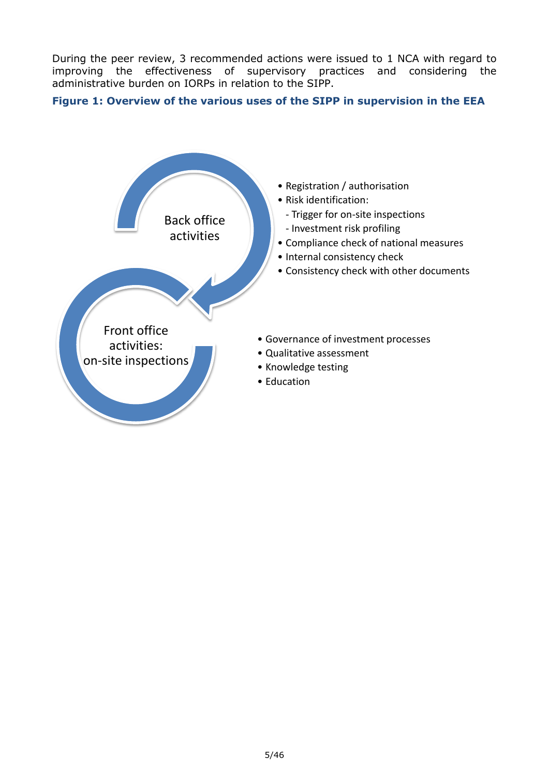During the peer review, 3 recommended actions were issued to 1 NCA with regard to improving the effectiveness of supervisory practices and considering the administrative burden on IORPs in relation to the SIPP.

### **Figure 1: Overview of the various uses of the SIPP in supervision in the EEA**

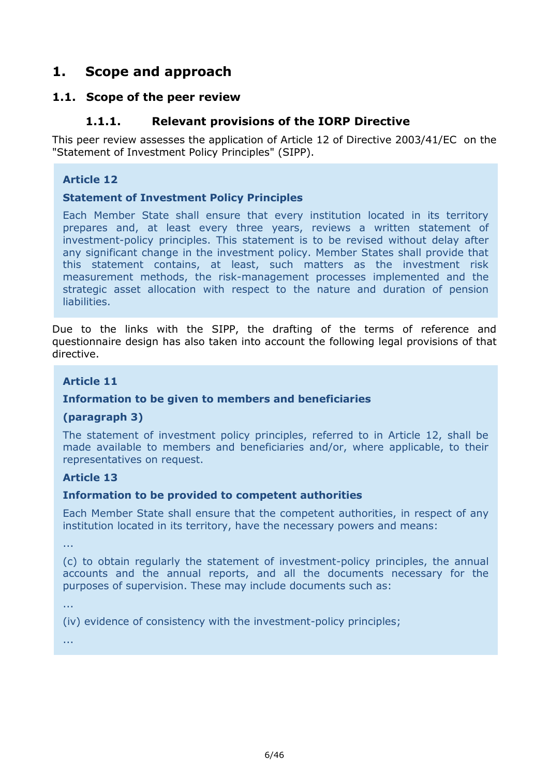# <span id="page-5-0"></span>**1. Scope and approach**

### <span id="page-5-1"></span>**1.1. Scope of the peer review**

### **1.1.1. Relevant provisions of the IORP Directive**

This peer review assesses the application of Article 12 of Directive 2003/41/EC on the "Statement of Investment Policy Principles" (SIPP).

#### **Article 12**

#### **Statement of Investment Policy Principles**

Each Member State shall ensure that every institution located in its territory prepares and, at least every three years, reviews a written statement of investment-policy principles. This statement is to be revised without delay after any significant change in the investment policy. Member States shall provide that this statement contains, at least, such matters as the investment risk measurement methods, the risk-management processes implemented and the strategic asset allocation with respect to the nature and duration of pension liabilities.

Due to the links with the SIPP, the drafting of the terms of reference and questionnaire design has also taken into account the following legal provisions of that directive.

#### **Article 11**

#### **Information to be given to members and beneficiaries**

#### **(paragraph 3)**

The statement of investment policy principles, referred to in Article 12, shall be made available to members and beneficiaries and/or, where applicable, to their representatives on request.

#### **Article 13**

#### **Information to be provided to competent authorities**

Each Member State shall ensure that the competent authorities, in respect of any institution located in its territory, have the necessary powers and means:

...

(c) to obtain regularly the statement of investment-policy principles, the annual accounts and the annual reports, and all the documents necessary for the purposes of supervision. These may include documents such as:

...

(iv) evidence of consistency with the investment-policy principles;

...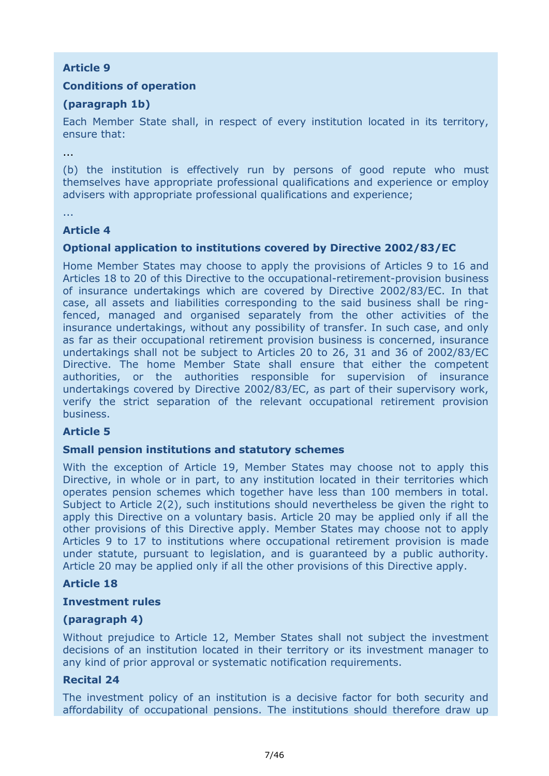### **Article 9**

### **Conditions of operation**

### **(paragraph 1b)**

Each Member State shall, in respect of every institution located in its territory, ensure that:

...

(b) the institution is effectively run by persons of good repute who must themselves have appropriate professional qualifications and experience or employ advisers with appropriate professional qualifications and experience;

...

### **Article 4**

### **Optional application to institutions covered by Directive 2002/83/EC**

Home Member States may choose to apply the provisions of Articles 9 to 16 and Articles 18 to 20 of this Directive to the occupational-retirement-provision business of insurance undertakings which are covered by Directive 2002/83/EC. In that case, all assets and liabilities corresponding to the said business shall be ringfenced, managed and organised separately from the other activities of the insurance undertakings, without any possibility of transfer. In such case, and only as far as their occupational retirement provision business is concerned, insurance undertakings shall not be subject to Articles 20 to 26, 31 and 36 of 2002/83/EC Directive. The home Member State shall ensure that either the competent authorities, or the authorities responsible for supervision of insurance undertakings covered by Directive 2002/83/EC, as part of their supervisory work, verify the strict separation of the relevant occupational retirement provision business.

#### **Article 5**

#### **Small pension institutions and statutory schemes**

With the exception of Article 19, Member States may choose not to apply this Directive, in whole or in part, to any institution located in their territories which operates pension schemes which together have less than 100 members in total. Subject to Article 2(2), such institutions should nevertheless be given the right to apply this Directive on a voluntary basis. Article 20 may be applied only if all the other provisions of this Directive apply. Member States may choose not to apply Articles 9 to 17 to institutions where occupational retirement provision is made under statute, pursuant to legislation, and is guaranteed by a public authority. Article 20 may be applied only if all the other provisions of this Directive apply.

#### **Article 18**

#### **Investment rules**

#### **(paragraph 4)**

Without prejudice to Article 12, Member States shall not subject the investment decisions of an institution located in their territory or its investment manager to any kind of prior approval or systematic notification requirements.

#### **Recital 24**

The investment policy of an institution is a decisive factor for both security and affordability of occupational pensions. The institutions should therefore draw up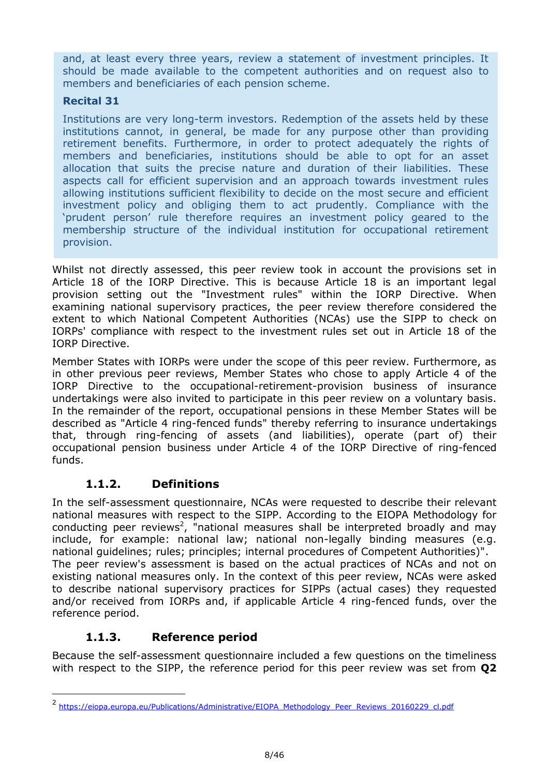and, at least every three years, review a statement of investment principles. It should be made available to the competent authorities and on request also to members and beneficiaries of each pension scheme.

### **Recital 31**

Institutions are very long-term investors. Redemption of the assets held by these institutions cannot, in general, be made for any purpose other than providing retirement benefits. Furthermore, in order to protect adequately the rights of members and beneficiaries, institutions should be able to opt for an asset allocation that suits the precise nature and duration of their liabilities. These aspects call for efficient supervision and an approach towards investment rules allowing institutions sufficient flexibility to decide on the most secure and efficient investment policy and obliging them to act prudently. Compliance with the 'prudent person' rule therefore requires an investment policy geared to the membership structure of the individual institution for occupational retirement provision.

Whilst not directly assessed, this peer review took in account the provisions set in Article 18 of the IORP Directive. This is because Article 18 is an important legal provision setting out the "Investment rules" within the IORP Directive. When examining national supervisory practices, the peer review therefore considered the extent to which National Competent Authorities (NCAs) use the SIPP to check on IORPs' compliance with respect to the investment rules set out in Article 18 of the IORP Directive.

Member States with IORPs were under the scope of this peer review. Furthermore, as in other previous peer reviews, Member States who chose to apply Article 4 of the IORP Directive to the occupational-retirement-provision business of insurance undertakings were also invited to participate in this peer review on a voluntary basis. In the remainder of the report, occupational pensions in these Member States will be described as "Article 4 ring-fenced funds" thereby referring to insurance undertakings that, through ring-fencing of assets (and liabilities), operate (part of) their occupational pension business under Article 4 of the IORP Directive of ring-fenced funds.

### **1.1.2. Definitions**

In the self-assessment questionnaire, NCAs were requested to describe their relevant national measures with respect to the SIPP. According to the EIOPA Methodology for conducting peer reviews<sup>2</sup>, "national measures shall be interpreted broadly and may include, for example: national law; national non-legally binding measures (e.g. national guidelines; rules; principles; internal procedures of Competent Authorities)". The peer review's assessment is based on the actual practices of NCAs and not on existing national measures only. In the context of this peer review, NCAs were asked to describe national supervisory practices for SIPPs (actual cases) they requested and/or received from IORPs and, if applicable Article 4 ring-fenced funds, over the reference period.

### **1.1.3. Reference period**

-

Because the self-assessment questionnaire included a few questions on the timeliness with respect to the SIPP, the reference period for this peer review was set from **Q2** 

<sup>2</sup> https://eiopa.europa.eu/Publications/Administrative/EIOPA Methodology Peer Reviews 20160229 cl.pdf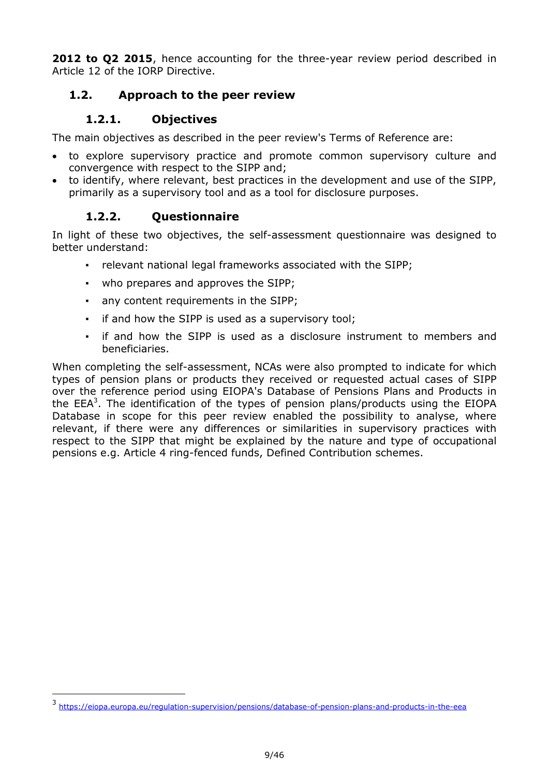**2012 to Q2 2015**, hence accounting for the three-year review period described in Article 12 of the IORP Directive.

### <span id="page-8-0"></span>**1.2. Approach to the peer review**

### **1.2.1. Objectives**

The main objectives as described in the peer review's Terms of Reference are:

- to explore supervisory practice and promote common supervisory culture and convergence with respect to the SIPP and;
- to identify, where relevant, best practices in the development and use of the SIPP, primarily as a supervisory tool and as a tool for disclosure purposes.

### **1.2.2. Questionnaire**

-

In light of these two objectives, the self-assessment questionnaire was designed to better understand:

- relevant national legal frameworks associated with the SIPP;
- who prepares and approves the SIPP;
- any content requirements in the SIPP;
- if and how the SIPP is used as a supervisory tool;
- if and how the SIPP is used as a disclosure instrument to members and beneficiaries.

When completing the self-assessment, NCAs were also prompted to indicate for which types of pension plans or products they received or requested actual cases of SIPP over the reference period using EIOPA's Database of Pensions Plans and Products in the  $EEA<sup>3</sup>$ . The identification of the types of pension plans/products using the EIOPA Database in scope for this peer review enabled the possibility to analyse, where relevant, if there were any differences or similarities in supervisory practices with respect to the SIPP that might be explained by the nature and type of occupational pensions e.g. Article 4 ring-fenced funds, Defined Contribution schemes.

<sup>3</sup> <https://eiopa.europa.eu/regulation-supervision/pensions/database-of-pension-plans-and-products-in-the-eea>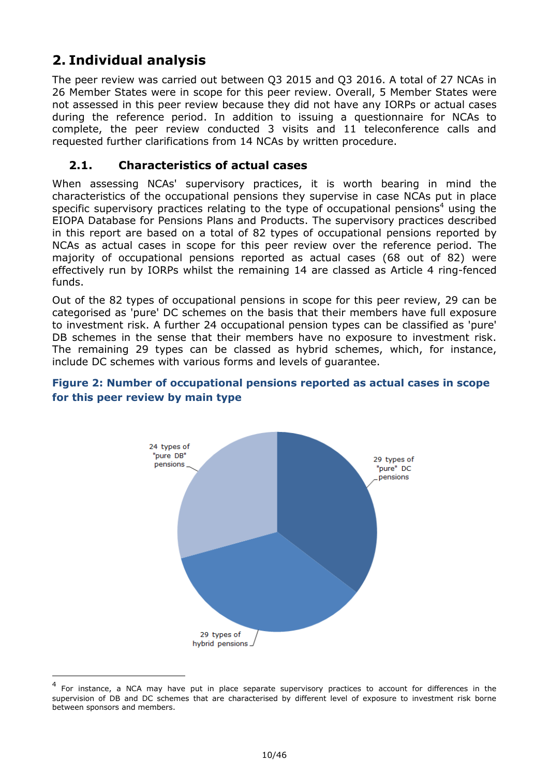# <span id="page-9-0"></span>**2. Individual analysis**

-

The peer review was carried out between Q3 2015 and Q3 2016. A total of 27 NCAs in 26 Member States were in scope for this peer review. Overall, 5 Member States were not assessed in this peer review because they did not have any IORPs or actual cases during the reference period. In addition to issuing a questionnaire for NCAs to complete, the peer review conducted 3 visits and 11 teleconference calls and requested further clarifications from 14 NCAs by written procedure.

### <span id="page-9-1"></span>**2.1. Characteristics of actual cases**

When assessing NCAs' supervisory practices, it is worth bearing in mind the characteristics of the occupational pensions they supervise in case NCAs put in place specific supervisory practices relating to the type of occupational pensions<sup>4</sup> using the EIOPA Database for Pensions Plans and Products. The supervisory practices described in this report are based on a total of 82 types of occupational pensions reported by NCAs as actual cases in scope for this peer review over the reference period. The majority of occupational pensions reported as actual cases (68 out of 82) were effectively run by IORPs whilst the remaining 14 are classed as Article 4 ring-fenced funds.

Out of the 82 types of occupational pensions in scope for this peer review, 29 can be categorised as 'pure' DC schemes on the basis that their members have full exposure to investment risk. A further 24 occupational pension types can be classified as 'pure' DB schemes in the sense that their members have no exposure to investment risk. The remaining 29 types can be classed as hybrid schemes, which, for instance, include DC schemes with various forms and levels of guarantee.

### **Figure 2: Number of occupational pensions reported as actual cases in scope for this peer review by main type**



<sup>4</sup> For instance, a NCA may have put in place separate supervisory practices to account for differences in the supervision of DB and DC schemes that are characterised by different level of exposure to investment risk borne between sponsors and members.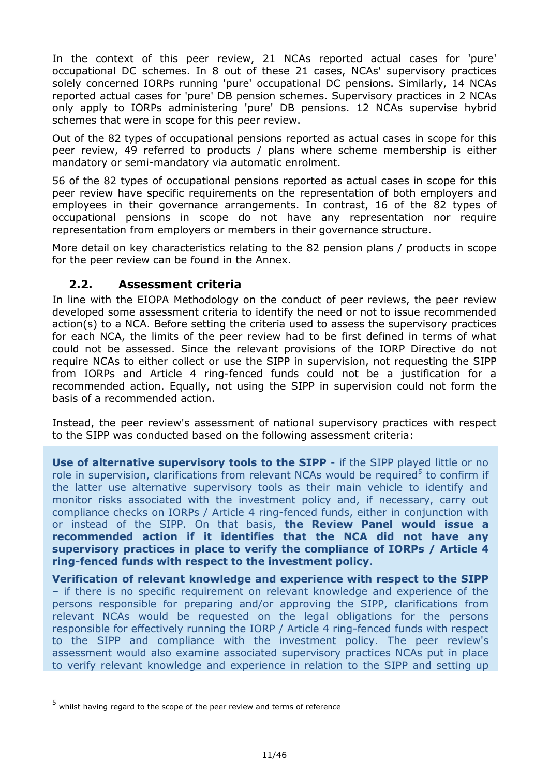In the context of this peer review, 21 NCAs reported actual cases for 'pure' occupational DC schemes. In 8 out of these 21 cases, NCAs' supervisory practices solely concerned IORPs running 'pure' occupational DC pensions. Similarly, 14 NCAs reported actual cases for 'pure' DB pension schemes. Supervisory practices in 2 NCAs only apply to IORPs administering 'pure' DB pensions. 12 NCAs supervise hybrid schemes that were in scope for this peer review.

Out of the 82 types of occupational pensions reported as actual cases in scope for this peer review, 49 referred to products / plans where scheme membership is either mandatory or semi-mandatory via automatic enrolment.

56 of the 82 types of occupational pensions reported as actual cases in scope for this peer review have specific requirements on the representation of both employers and employees in their governance arrangements. In contrast, 16 of the 82 types of occupational pensions in scope do not have any representation nor require representation from employers or members in their governance structure.

More detail on key characteristics relating to the 82 pension plans / products in scope for the peer review can be found in the Annex.

### <span id="page-10-0"></span>**2.2. Assessment criteria**

In line with the EIOPA Methodology on the conduct of peer reviews, the peer review developed some assessment criteria to identify the need or not to issue recommended action(s) to a NCA. Before setting the criteria used to assess the supervisory practices for each NCA, the limits of the peer review had to be first defined in terms of what could not be assessed. Since the relevant provisions of the IORP Directive do not require NCAs to either collect or use the SIPP in supervision, not requesting the SIPP from IORPs and Article 4 ring-fenced funds could not be a justification for a recommended action. Equally, not using the SIPP in supervision could not form the basis of a recommended action.

Instead, the peer review's assessment of national supervisory practices with respect to the SIPP was conducted based on the following assessment criteria:

**Use of alternative supervisory tools to the SIPP** - if the SIPP played little or no role in supervision, clarifications from relevant NCAs would be required<sup>5</sup> to confirm if the latter use alternative supervisory tools as their main vehicle to identify and monitor risks associated with the investment policy and, if necessary, carry out compliance checks on IORPs / Article 4 ring-fenced funds, either in conjunction with or instead of the SIPP. On that basis, **the Review Panel would issue a recommended action if it identifies that the NCA did not have any supervisory practices in place to verify the compliance of IORPs / Article 4 ring-fenced funds with respect to the investment policy**.

**Verification of relevant knowledge and experience with respect to the SIPP** – if there is no specific requirement on relevant knowledge and experience of the persons responsible for preparing and/or approving the SIPP, clarifications from relevant NCAs would be requested on the legal obligations for the persons responsible for effectively running the IORP / Article 4 ring-fenced funds with respect to the SIPP and compliance with the investment policy. The peer review's assessment would also examine associated supervisory practices NCAs put in place to verify relevant knowledge and experience in relation to the SIPP and setting up

-

<sup>5</sup> whilst having regard to the scope of the peer review and terms of reference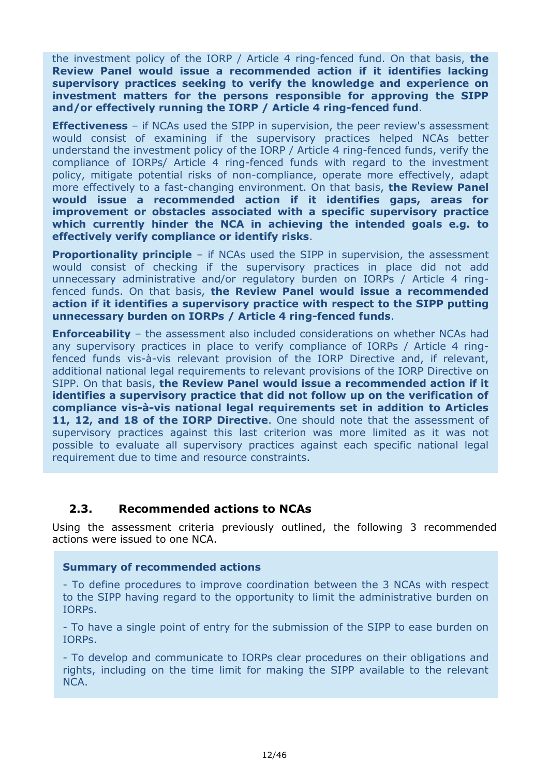the investment policy of the IORP / Article 4 ring-fenced fund. On that basis, **the Review Panel would issue a recommended action if it identifies lacking supervisory practices seeking to verify the knowledge and experience on investment matters for the persons responsible for approving the SIPP and/or effectively running the IORP / Article 4 ring-fenced fund**.

**Effectiveness** – if NCAs used the SIPP in supervision, the peer review's assessment would consist of examining if the supervisory practices helped NCAs better understand the investment policy of the IORP / Article 4 ring-fenced funds, verify the compliance of IORPs/ Article 4 ring-fenced funds with regard to the investment policy, mitigate potential risks of non-compliance, operate more effectively, adapt more effectively to a fast-changing environment. On that basis, **the Review Panel would issue a recommended action if it identifies gaps, areas for improvement or obstacles associated with a specific supervisory practice which currently hinder the NCA in achieving the intended goals e.g. to effectively verify compliance or identify risks**.

**Proportionality principle** – if NCAs used the SIPP in supervision, the assessment would consist of checking if the supervisory practices in place did not add unnecessary administrative and/or regulatory burden on IORPs / Article 4 ringfenced funds. On that basis, **the Review Panel would issue a recommended action if it identifies a supervisory practice with respect to the SIPP putting unnecessary burden on IORPs / Article 4 ring-fenced funds**.

**Enforceability** – the assessment also included considerations on whether NCAs had any supervisory practices in place to verify compliance of IORPs / Article 4 ringfenced funds vis-à-vis relevant provision of the IORP Directive and, if relevant, additional national legal requirements to relevant provisions of the IORP Directive on SIPP. On that basis, **the Review Panel would issue a recommended action if it identifies a supervisory practice that did not follow up on the verification of compliance vis-à-vis national legal requirements set in addition to Articles 11, 12, and 18 of the IORP Directive**. One should note that the assessment of supervisory practices against this last criterion was more limited as it was not possible to evaluate all supervisory practices against each specific national legal requirement due to time and resource constraints.

#### <span id="page-11-0"></span>**2.3. Recommended actions to NCAs**

Using the assessment criteria previously outlined, the following 3 recommended actions were issued to one NCA.

#### **Summary of recommended actions**

- To define procedures to improve coordination between the 3 NCAs with respect to the SIPP having regard to the opportunity to limit the administrative burden on IORPs.

- To have a single point of entry for the submission of the SIPP to ease burden on IORPs.

- To develop and communicate to IORPs clear procedures on their obligations and rights, including on the time limit for making the SIPP available to the relevant NCA.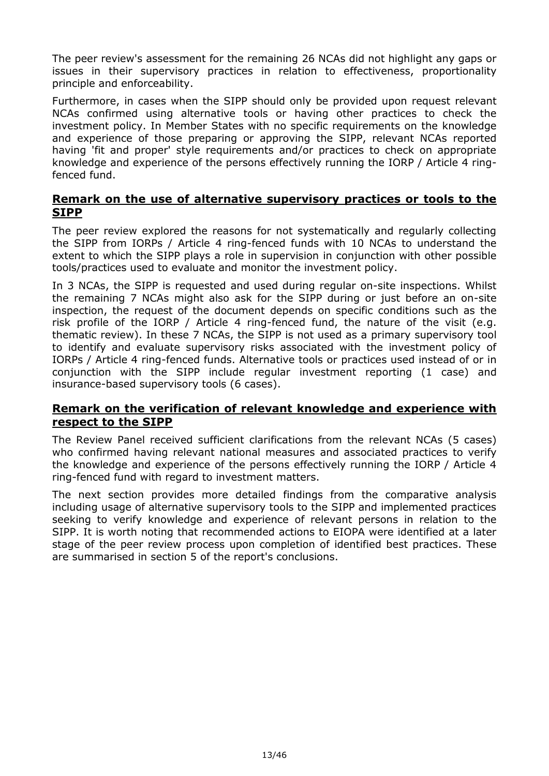The peer review's assessment for the remaining 26 NCAs did not highlight any gaps or issues in their supervisory practices in relation to effectiveness, proportionality principle and enforceability.

Furthermore, in cases when the SIPP should only be provided upon request relevant NCAs confirmed using alternative tools or having other practices to check the investment policy. In Member States with no specific requirements on the knowledge and experience of those preparing or approving the SIPP, relevant NCAs reported having 'fit and proper' style requirements and/or practices to check on appropriate knowledge and experience of the persons effectively running the IORP / Article 4 ringfenced fund.

#### **Remark on the use of alternative supervisory practices or tools to the SIPP**

The peer review explored the reasons for not systematically and regularly collecting the SIPP from IORPs / Article 4 ring-fenced funds with 10 NCAs to understand the extent to which the SIPP plays a role in supervision in conjunction with other possible tools/practices used to evaluate and monitor the investment policy.

In 3 NCAs, the SIPP is requested and used during regular on-site inspections. Whilst the remaining 7 NCAs might also ask for the SIPP during or just before an on-site inspection, the request of the document depends on specific conditions such as the risk profile of the IORP / Article 4 ring-fenced fund, the nature of the visit (e.g. thematic review). In these 7 NCAs, the SIPP is not used as a primary supervisory tool to identify and evaluate supervisory risks associated with the investment policy of IORPs / Article 4 ring-fenced funds. Alternative tools or practices used instead of or in conjunction with the SIPP include regular investment reporting (1 case) and insurance-based supervisory tools (6 cases).

### **Remark on the verification of relevant knowledge and experience with respect to the SIPP**

The Review Panel received sufficient clarifications from the relevant NCAs (5 cases) who confirmed having relevant national measures and associated practices to verify the knowledge and experience of the persons effectively running the IORP / Article 4 ring-fenced fund with regard to investment matters.

The next section provides more detailed findings from the comparative analysis including usage of alternative supervisory tools to the SIPP and implemented practices seeking to verify knowledge and experience of relevant persons in relation to the SIPP. It is worth noting that recommended actions to EIOPA were identified at a later stage of the peer review process upon completion of identified best practices. These are summarised in section 5 of the report's conclusions.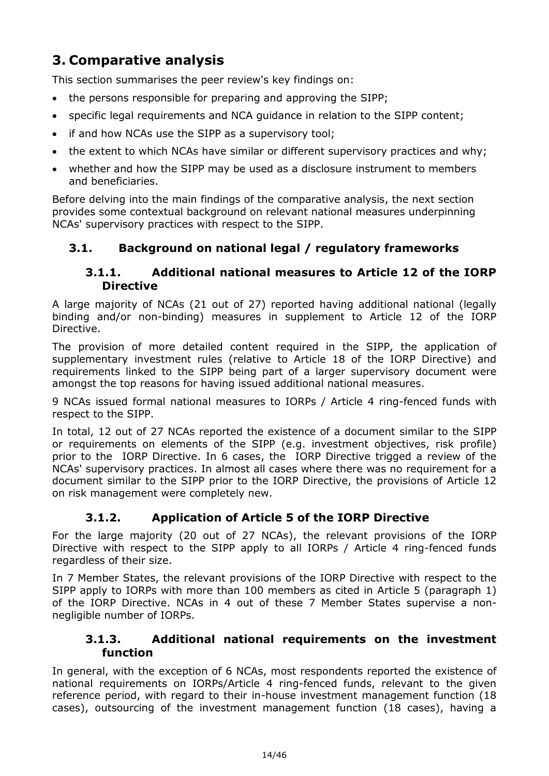# <span id="page-13-0"></span>**3. Comparative analysis**

This section summarises the peer review's key findings on:

- the persons responsible for preparing and approving the SIPP;
- specific legal requirements and NCA guidance in relation to the SIPP content;
- if and how NCAs use the SIPP as a supervisory tool;
- the extent to which NCAs have similar or different supervisory practices and why;
- whether and how the SIPP may be used as a disclosure instrument to members and beneficiaries.

Before delving into the main findings of the comparative analysis, the next section provides some contextual background on relevant national measures underpinning NCAs' supervisory practices with respect to the SIPP.

### <span id="page-13-1"></span>**3.1. Background on national legal / regulatory frameworks**

### **3.1.1. Additional national measures to Article 12 of the IORP Directive**

A large majority of NCAs (21 out of 27) reported having additional national (legally binding and/or non-binding) measures in supplement to Article 12 of the IORP Directive.

The provision of more detailed content required in the SIPP, the application of supplementary investment rules (relative to Article 18 of the IORP Directive) and requirements linked to the SIPP being part of a larger supervisory document were amongst the top reasons for having issued additional national measures.

9 NCAs issued formal national measures to IORPs / Article 4 ring-fenced funds with respect to the SIPP.

In total, 12 out of 27 NCAs reported the existence of a document similar to the SIPP or requirements on elements of the SIPP (e.g. investment objectives, risk profile) prior to the IORP Directive. In 6 cases, the IORP Directive trigged a review of the NCAs' supervisory practices. In almost all cases where there was no requirement for a document similar to the SIPP prior to the IORP Directive, the provisions of Article 12 on risk management were completely new.

### **3.1.2. Application of Article 5 of the IORP Directive**

For the large majority (20 out of 27 NCAs), the relevant provisions of the IORP Directive with respect to the SIPP apply to all IORPs / Article 4 ring-fenced funds regardless of their size.

In 7 Member States, the relevant provisions of the IORP Directive with respect to the SIPP apply to IORPs with more than 100 members as cited in Article 5 (paragraph 1) of the IORP Directive. NCAs in 4 out of these 7 Member States supervise a nonnegligible number of IORPs.

### **3.1.3. Additional national requirements on the investment function**

In general, with the exception of 6 NCAs, most respondents reported the existence of national requirements on IORPs/Article 4 ring-fenced funds, relevant to the given reference period, with regard to their in-house investment management function (18 cases), outsourcing of the investment management function (18 cases), having a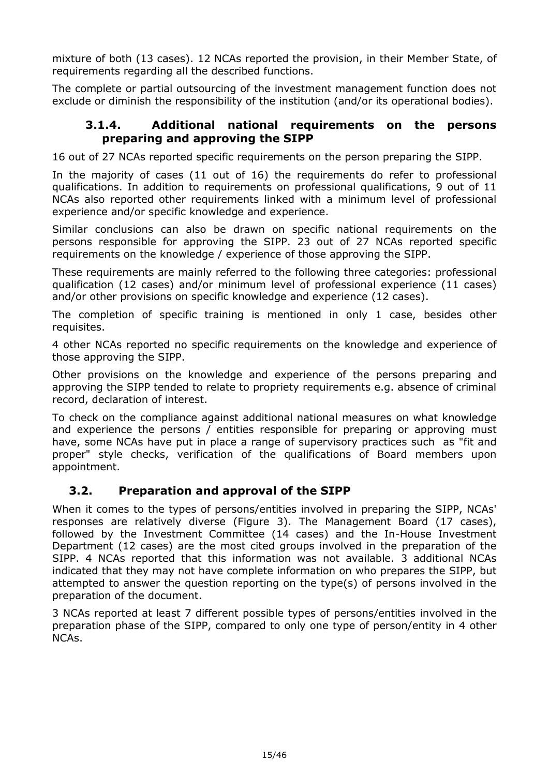mixture of both (13 cases). 12 NCAs reported the provision, in their Member State, of requirements regarding all the described functions.

The complete or partial outsourcing of the investment management function does not exclude or diminish the responsibility of the institution (and/or its operational bodies).

#### **3.1.4. Additional national requirements on the persons preparing and approving the SIPP**

16 out of 27 NCAs reported specific requirements on the person preparing the SIPP.

In the majority of cases (11 out of 16) the requirements do refer to professional qualifications. In addition to requirements on professional qualifications, 9 out of 11 NCAs also reported other requirements linked with a minimum level of professional experience and/or specific knowledge and experience.

Similar conclusions can also be drawn on specific national requirements on the persons responsible for approving the SIPP. 23 out of 27 NCAs reported specific requirements on the knowledge / experience of those approving the SIPP.

These requirements are mainly referred to the following three categories: professional qualification (12 cases) and/or minimum level of professional experience (11 cases) and/or other provisions on specific knowledge and experience (12 cases).

The completion of specific training is mentioned in only 1 case, besides other requisites.

4 other NCAs reported no specific requirements on the knowledge and experience of those approving the SIPP.

Other provisions on the knowledge and experience of the persons preparing and approving the SIPP tended to relate to propriety requirements e.g. absence of criminal record, declaration of interest.

To check on the compliance against additional national measures on what knowledge and experience the persons / entities responsible for preparing or approving must have, some NCAs have put in place a range of supervisory practices such as "fit and proper" style checks, verification of the qualifications of Board members upon appointment.

### <span id="page-14-0"></span>**3.2. Preparation and approval of the SIPP**

When it comes to the types of persons/entities involved in preparing the SIPP, NCAs' responses are relatively diverse (Figure 3). The Management Board (17 cases), followed by the Investment Committee (14 cases) and the In-House Investment Department (12 cases) are the most cited groups involved in the preparation of the SIPP. 4 NCAs reported that this information was not available. 3 additional NCAs indicated that they may not have complete information on who prepares the SIPP, but attempted to answer the question reporting on the type(s) of persons involved in the preparation of the document.

3 NCAs reported at least 7 different possible types of persons/entities involved in the preparation phase of the SIPP, compared to only one type of person/entity in 4 other NCAs.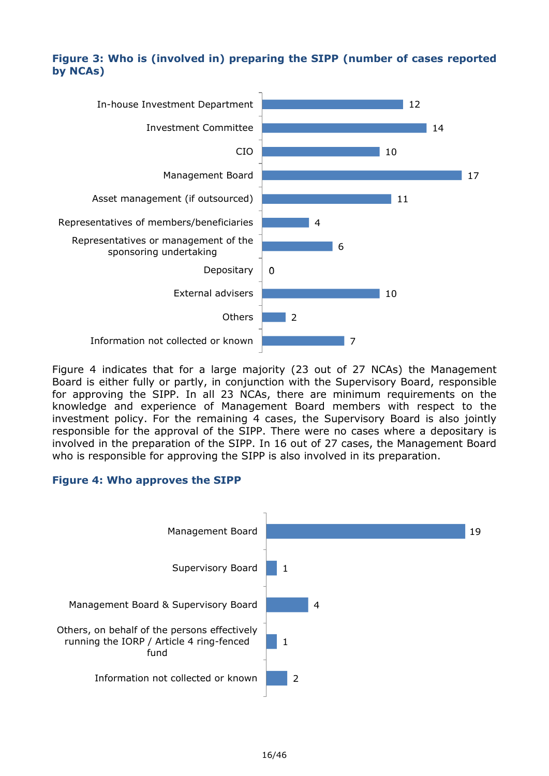### **Figure 3: Who is (involved in) preparing the SIPP (number of cases reported by NCAs)**



Figure 4 indicates that for a large majority (23 out of 27 NCAs) the Management Board is either fully or partly, in conjunction with the Supervisory Board, responsible for approving the SIPP. In all 23 NCAs, there are minimum requirements on the knowledge and experience of Management Board members with respect to the investment policy. For the remaining 4 cases, the Supervisory Board is also jointly responsible for the approval of the SIPP. There were no cases where a depositary is involved in the preparation of the SIPP. In 16 out of 27 cases, the Management Board who is responsible for approving the SIPP is also involved in its preparation.

#### **Figure 4: Who approves the SIPP**

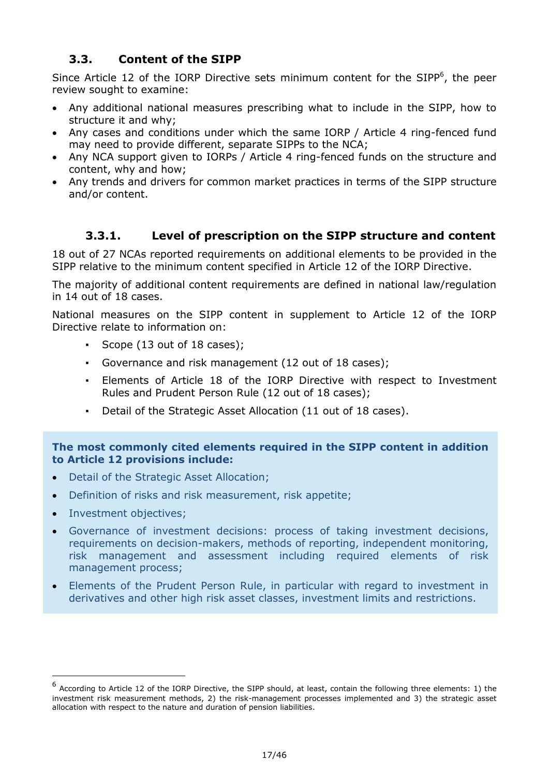### <span id="page-16-0"></span>**3.3. Content of the SIPP**

Since Article 12 of the IORP Directive sets minimum content for the SIPP $<sup>6</sup>$ , the peer</sup> review sought to examine:

- Any additional national measures prescribing what to include in the SIPP, how to structure it and why;
- Any cases and conditions under which the same IORP / Article 4 ring-fenced fund may need to provide different, separate SIPPs to the NCA;
- Any NCA support given to IORPs / Article 4 ring-fenced funds on the structure and content, why and how;
- Any trends and drivers for common market practices in terms of the SIPP structure and/or content.

### **3.3.1. Level of prescription on the SIPP structure and content**

18 out of 27 NCAs reported requirements on additional elements to be provided in the SIPP relative to the minimum content specified in Article 12 of the IORP Directive.

The majority of additional content requirements are defined in national law/regulation in 14 out of 18 cases.

National measures on the SIPP content in supplement to Article 12 of the IORP Directive relate to information on:

- Scope (13 out of 18 cases);
- Governance and risk management (12 out of 18 cases);
- Elements of Article 18 of the IORP Directive with respect to Investment Rules and Prudent Person Rule (12 out of 18 cases);
- Detail of the Strategic Asset Allocation (11 out of 18 cases).

#### **The most commonly cited elements required in the SIPP content in addition to Article 12 provisions include:**

- Detail of the Strategic Asset Allocation;
- Definition of risks and risk measurement, risk appetite;
- Investment objectives;

-

- Governance of investment decisions: process of taking investment decisions, requirements on decision-makers, methods of reporting, independent monitoring, risk management and assessment including required elements of risk management process;
- Elements of the Prudent Person Rule, in particular with regard to investment in derivatives and other high risk asset classes, investment limits and restrictions.

<sup>6</sup> According to Article 12 of the IORP Directive, the SIPP should, at least, contain the following three elements: 1) the investment risk measurement methods, 2) the risk-management processes implemented and 3) the strategic asset allocation with respect to the nature and duration of pension liabilities.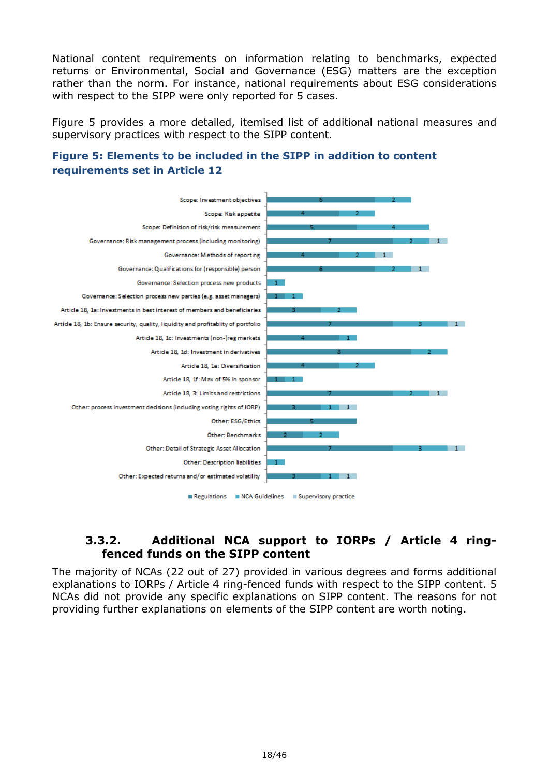National content requirements on information relating to benchmarks, expected returns or Environmental, Social and Governance (ESG) matters are the exception rather than the norm. For instance, national requirements about ESG considerations with respect to the SIPP were only reported for 5 cases.

Figure 5 provides a more detailed, itemised list of additional national measures and supervisory practices with respect to the SIPP content.





### **3.3.2. Additional NCA support to IORPs / Article 4 ringfenced funds on the SIPP content**

The majority of NCAs (22 out of 27) provided in various degrees and forms additional explanations to IORPs / Article 4 ring-fenced funds with respect to the SIPP content. 5 NCAs did not provide any specific explanations on SIPP content. The reasons for not providing further explanations on elements of the SIPP content are worth noting.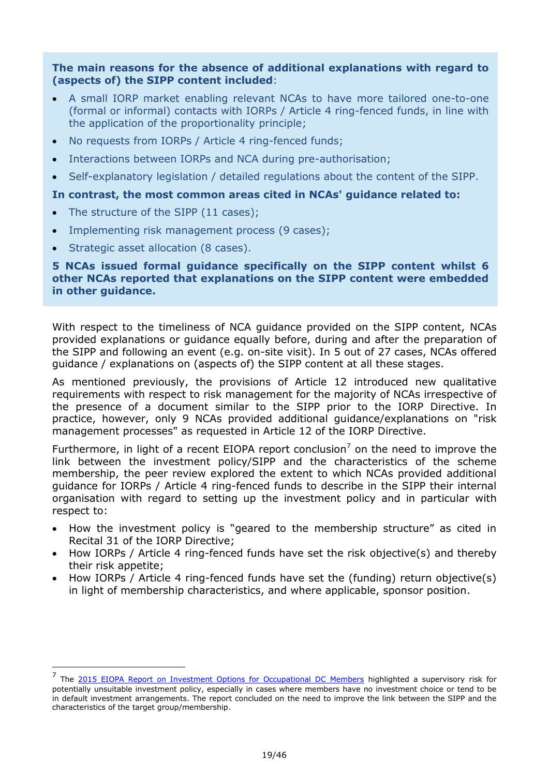#### **The main reasons for the absence of additional explanations with regard to (aspects of) the SIPP content included**:

- A small IORP market enabling relevant NCAs to have more tailored one-to-one (formal or informal) contacts with IORPs / Article 4 ring-fenced funds, in line with the application of the proportionality principle;
- No requests from IORPs / Article 4 ring-fenced funds;
- Interactions between IORPs and NCA during pre-authorisation;
- Self-explanatory legislation / detailed regulations about the content of the SIPP.

#### **In contrast, the most common areas cited in NCAs' guidance related to:**

- The structure of the SIPP (11 cases);
- Implementing risk management process (9 cases);
- Strategic asset allocation (8 cases).

-

#### **5 NCAs issued formal guidance specifically on the SIPP content whilst 6 other NCAs reported that explanations on the SIPP content were embedded in other guidance.**

With respect to the timeliness of NCA guidance provided on the SIPP content, NCAs provided explanations or guidance equally before, during and after the preparation of the SIPP and following an event (e.g. on-site visit). In 5 out of 27 cases, NCAs offered guidance / explanations on (aspects of) the SIPP content at all these stages.

As mentioned previously, the provisions of Article 12 introduced new qualitative requirements with respect to risk management for the majority of NCAs irrespective of the presence of a document similar to the SIPP prior to the IORP Directive. In practice, however, only 9 NCAs provided additional guidance/explanations on "risk management processes" as requested in Article 12 of the IORP Directive.

Furthermore, in light of a recent EIOPA report conclusion<sup>7</sup> on the need to improve the link between the investment policy/SIPP and the characteristics of the scheme membership, the peer review explored the extent to which NCAs provided additional guidance for IORPs / Article 4 ring-fenced funds to describe in the SIPP their internal organisation with regard to setting up the investment policy and in particular with respect to:

- How the investment policy is "geared to the membership structure" as cited in Recital 31 of the IORP Directive;
- How IORPs / Article 4 ring-fenced funds have set the risk objective(s) and thereby their risk appetite;
- How IORPs / Article 4 ring-fenced funds have set the (funding) return objective(s) in light of membership characteristics, and where applicable, sponsor position.

<sup>&</sup>lt;sup>7</sup> The [2015 EIOPA Report on Investment Options for Occupational DC Members](https://eiopa.europa.eu/Publications/Reports/2015-01-29_Final_report_on_investment_options.pdf#search=investment%20options) highlighted a supervisory risk for potentially unsuitable investment policy, especially in cases where members have no investment choice or tend to be in default investment arrangements. The report concluded on the need to improve the link between the SIPP and the characteristics of the target group/membership.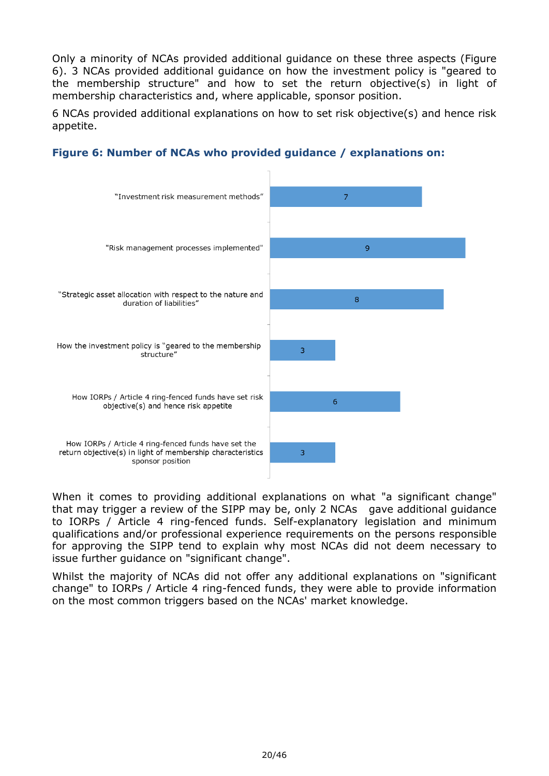Only a minority of NCAs provided additional guidance on these three aspects (Figure 6). 3 NCAs provided additional guidance on how the investment policy is "geared to the membership structure" and how to set the return objective(s) in light of membership characteristics and, where applicable, sponsor position.

6 NCAs provided additional explanations on how to set risk objective(s) and hence risk appetite.



### **Figure 6: Number of NCAs who provided guidance / explanations on:**

When it comes to providing additional explanations on what "a significant change" that may trigger a review of the SIPP may be, only 2 NCAs gave additional guidance to IORPs / Article 4 ring-fenced funds. Self-explanatory legislation and minimum qualifications and/or professional experience requirements on the persons responsible for approving the SIPP tend to explain why most NCAs did not deem necessary to issue further guidance on "significant change".

Whilst the majority of NCAs did not offer any additional explanations on "significant change" to IORPs / Article 4 ring-fenced funds, they were able to provide information on the most common triggers based on the NCAs' market knowledge.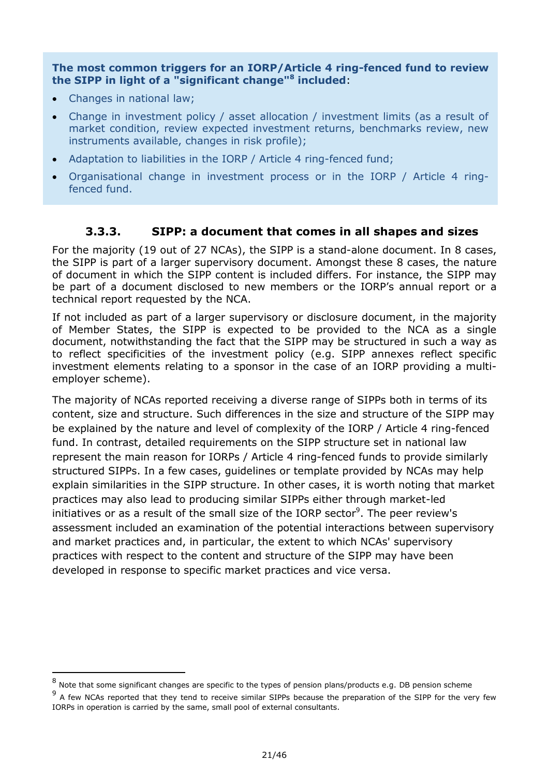**The most common triggers for an IORP/Article 4 ring-fenced fund to review the SIPP in light of a "significant change"<sup>8</sup> included**:

• Changes in national law;

-

- Change in investment policy / asset allocation / investment limits (as a result of market condition, review expected investment returns, benchmarks review, new instruments available, changes in risk profile);
- Adaptation to liabilities in the IORP / Article 4 ring-fenced fund;
- Organisational change in investment process or in the IORP / Article 4 ringfenced fund.

### **3.3.3. SIPP: a document that comes in all shapes and sizes**

For the majority (19 out of 27 NCAs), the SIPP is a stand-alone document. In 8 cases, the SIPP is part of a larger supervisory document. Amongst these 8 cases, the nature of document in which the SIPP content is included differs. For instance, the SIPP may be part of a document disclosed to new members or the IORP's annual report or a technical report requested by the NCA.

If not included as part of a larger supervisory or disclosure document, in the majority of Member States, the SIPP is expected to be provided to the NCA as a single document, notwithstanding the fact that the SIPP may be structured in such a way as to reflect specificities of the investment policy (e.g. SIPP annexes reflect specific investment elements relating to a sponsor in the case of an IORP providing a multiemployer scheme).

The majority of NCAs reported receiving a diverse range of SIPPs both in terms of its content, size and structure. Such differences in the size and structure of the SIPP may be explained by the nature and level of complexity of the IORP / Article 4 ring-fenced fund. In contrast, detailed requirements on the SIPP structure set in national law represent the main reason for IORPs / Article 4 ring-fenced funds to provide similarly structured SIPPs. In a few cases, guidelines or template provided by NCAs may help explain similarities in the SIPP structure. In other cases, it is worth noting that market practices may also lead to producing similar SIPPs either through market-led initiatives or as a result of the small size of the IORP sector<sup>9</sup>. The peer review's assessment included an examination of the potential interactions between supervisory and market practices and, in particular, the extent to which NCAs' supervisory practices with respect to the content and structure of the SIPP may have been developed in response to specific market practices and vice versa.

<sup>8&</sup>lt;br>Note that some significant changes are specific to the types of pension plans/products e.g. DB pension scheme

<sup>&</sup>lt;sup>9</sup> A few NCAs reported that they tend to receive similar SIPPs because the preparation of the SIPP for the very few IORPs in operation is carried by the same, small pool of external consultants.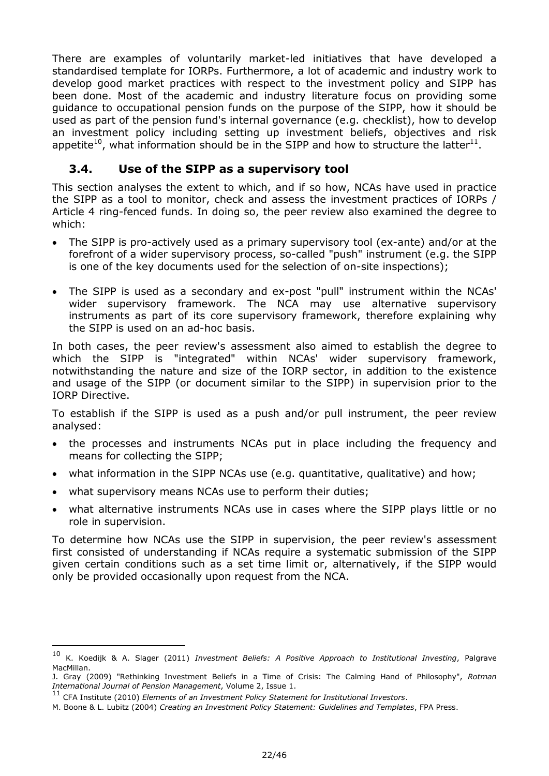There are examples of voluntarily market-led initiatives that have developed a standardised template for IORPs. Furthermore, a lot of academic and industry work to develop good market practices with respect to the investment policy and SIPP has been done. Most of the academic and industry literature focus on providing some guidance to occupational pension funds on the purpose of the SIPP, how it should be used as part of the pension fund's internal governance (e.g. checklist), how to develop an investment policy including setting up investment beliefs, objectives and risk appetite<sup>10</sup>, what information should be in the SIPP and how to structure the latter<sup>11</sup>.

### <span id="page-21-0"></span>**3.4. Use of the SIPP as a supervisory tool**

This section analyses the extent to which, and if so how, NCAs have used in practice the SIPP as a tool to monitor, check and assess the investment practices of IORPs / Article 4 ring-fenced funds. In doing so, the peer review also examined the degree to which:

- The SIPP is pro-actively used as a primary supervisory tool (ex-ante) and/or at the forefront of a wider supervisory process, so-called "push" instrument (e.g. the SIPP is one of the key documents used for the selection of on-site inspections);
- The SIPP is used as a secondary and ex-post "pull" instrument within the NCAs' wider supervisory framework. The NCA may use alternative supervisory instruments as part of its core supervisory framework, therefore explaining why the SIPP is used on an ad-hoc basis.

In both cases, the peer review's assessment also aimed to establish the degree to which the SIPP is "integrated" within NCAs' wider supervisory framework, notwithstanding the nature and size of the IORP sector, in addition to the existence and usage of the SIPP (or document similar to the SIPP) in supervision prior to the IORP Directive.

To establish if the SIPP is used as a push and/or pull instrument, the peer review analysed:

- the processes and instruments NCAs put in place including the frequency and means for collecting the SIPP;
- what information in the SIPP NCAs use (e.g. quantitative, qualitative) and how;
- what supervisory means NCAs use to perform their duties;
- what alternative instruments NCAs use in cases where the SIPP plays little or no role in supervision.

To determine how NCAs use the SIPP in supervision, the peer review's assessment first consisted of understanding if NCAs require a systematic submission of the SIPP given certain conditions such as a set time limit or, alternatively, if the SIPP would only be provided occasionally upon request from the NCA.

-

<sup>10</sup> K. Koedijk & A. Slager (2011) *Investment Beliefs: A Positive Approach to Institutional Investing*, Palgrave MacMillan.

J. Gray (2009) "Rethinking Investment Beliefs in a Time of Crisis: The Calming Hand of Philosophy", *Rotman International Journal of Pension Management*, Volume 2, Issue 1.

<sup>11</sup> CFA Institute (2010) *Elements of an Investment Policy Statement for Institutional Investors*.

M. Boone & L. Lubitz (2004) *Creating an Investment Policy Statement: Guidelines and Templates*, FPA Press.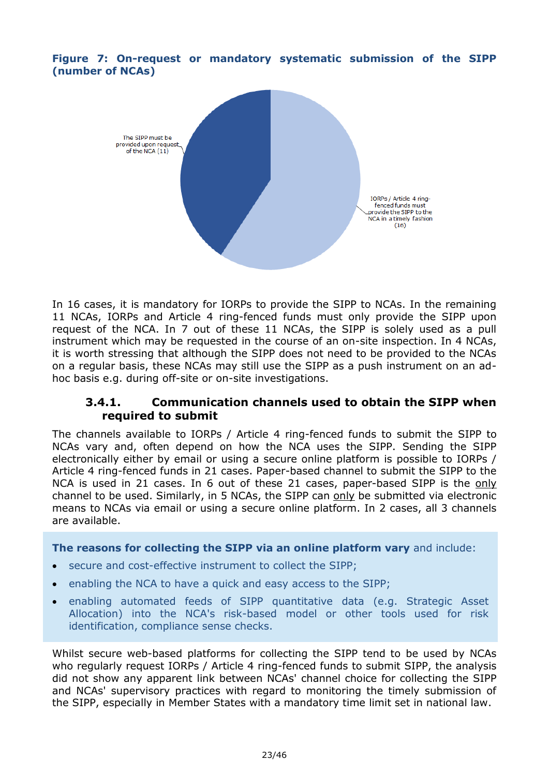**Figure 7: On-request or mandatory systematic submission of the SIPP (number of NCAs)**



In 16 cases, it is mandatory for IORPs to provide the SIPP to NCAs. In the remaining 11 NCAs, IORPs and Article 4 ring-fenced funds must only provide the SIPP upon request of the NCA. In 7 out of these 11 NCAs, the SIPP is solely used as a pull instrument which may be requested in the course of an on-site inspection. In 4 NCAs, it is worth stressing that although the SIPP does not need to be provided to the NCAs on a regular basis, these NCAs may still use the SIPP as a push instrument on an adhoc basis e.g. during off-site or on-site investigations.

### **3.4.1. Communication channels used to obtain the SIPP when required to submit**

The channels available to IORPs / Article 4 ring-fenced funds to submit the SIPP to NCAs vary and, often depend on how the NCA uses the SIPP. Sending the SIPP electronically either by email or using a secure online platform is possible to IORPs / Article 4 ring-fenced funds in 21 cases. Paper-based channel to submit the SIPP to the NCA is used in 21 cases. In 6 out of these 21 cases, paper-based SIPP is the only channel to be used. Similarly, in 5 NCAs, the SIPP can only be submitted via electronic means to NCAs via email or using a secure online platform. In 2 cases, all 3 channels are available.

#### **The reasons for collecting the SIPP via an online platform vary** and include:

- secure and cost-effective instrument to collect the SIPP;
- enabling the NCA to have a quick and easy access to the SIPP;
- enabling automated feeds of SIPP quantitative data (e.g. Strategic Asset Allocation) into the NCA's risk-based model or other tools used for risk identification, compliance sense checks.

Whilst secure web-based platforms for collecting the SIPP tend to be used by NCAs who regularly request IORPs / Article 4 ring-fenced funds to submit SIPP, the analysis did not show any apparent link between NCAs' channel choice for collecting the SIPP and NCAs' supervisory practices with regard to monitoring the timely submission of the SIPP, especially in Member States with a mandatory time limit set in national law.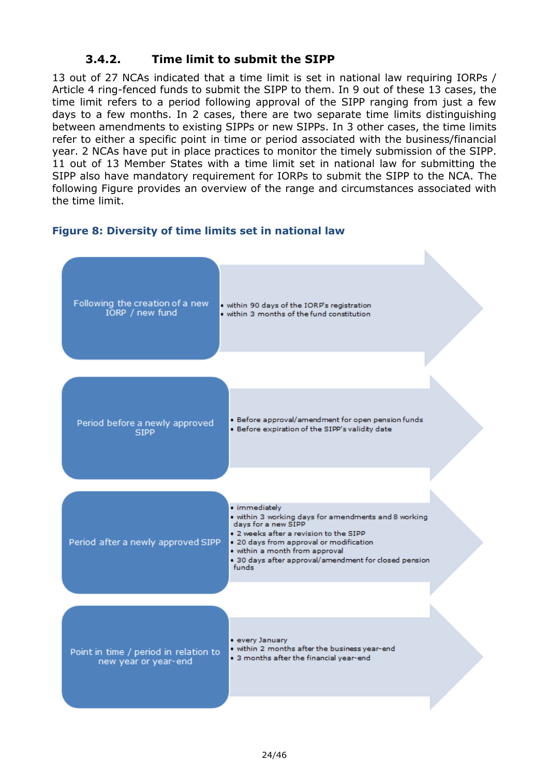### **3.4.2. Time limit to submit the SIPP**

13 out of 27 NCAs indicated that a time limit is set in national law requiring IORPs / Article 4 ring-fenced funds to submit the SIPP to them. In 9 out of these 13 cases, the time limit refers to a period following approval of the SIPP ranging from just a few days to a few months. In 2 cases, there are two separate time limits distinguishing between amendments to existing SIPPs or new SIPPs. In 3 other cases, the time limits refer to either a specific point in time or period associated with the business/financial year. 2 NCAs have put in place practices to monitor the timely submission of the SIPP. 11 out of 13 Member States with a time limit set in national law for submitting the SIPP also have mandatory requirement for IORPs to submit the SIPP to the NCA. The following Figure provides an overview of the range and circumstances associated with the time limit.

#### **Figure 8: Diversity of time limits set in national law**

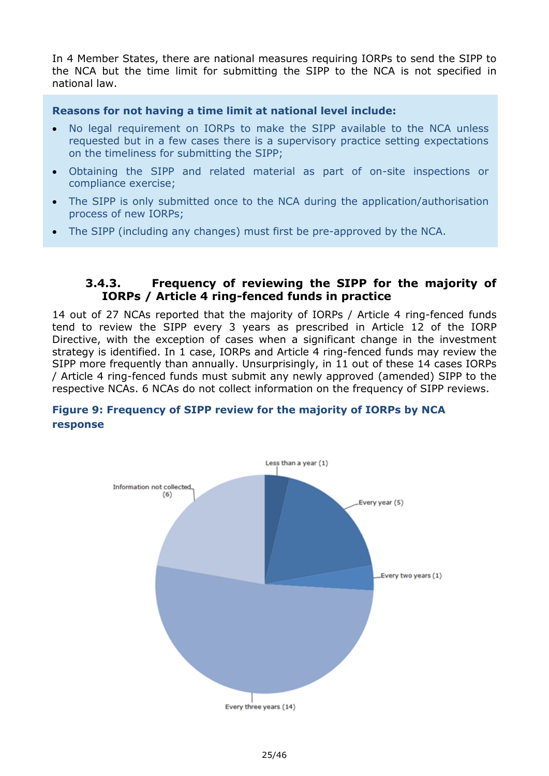In 4 Member States, there are national measures requiring IORPs to send the SIPP to the NCA but the time limit for submitting the SIPP to the NCA is not specified in national law.

#### **Reasons for not having a time limit at national level include:**

- No legal requirement on IORPs to make the SIPP available to the NCA unless requested but in a few cases there is a supervisory practice setting expectations on the timeliness for submitting the SIPP;
- Obtaining the SIPP and related material as part of on-site inspections or compliance exercise;
- The SIPP is only submitted once to the NCA during the application/authorisation process of new IORPs;
- The SIPP (including any changes) must first be pre-approved by the NCA.

### **3.4.3. Frequency of reviewing the SIPP for the majority of IORPs / Article 4 ring-fenced funds in practice**

14 out of 27 NCAs reported that the majority of IORPs / Article 4 ring-fenced funds tend to review the SIPP every 3 years as prescribed in Article 12 of the IORP Directive, with the exception of cases when a significant change in the investment strategy is identified. In 1 case, IORPs and Article 4 ring-fenced funds may review the SIPP more frequently than annually. Unsurprisingly, in 11 out of these 14 cases IORPs / Article 4 ring-fenced funds must submit any newly approved (amended) SIPP to the respective NCAs. 6 NCAs do not collect information on the frequency of SIPP reviews.

### **Figure 9: Frequency of SIPP review for the majority of IORPs by NCA response**

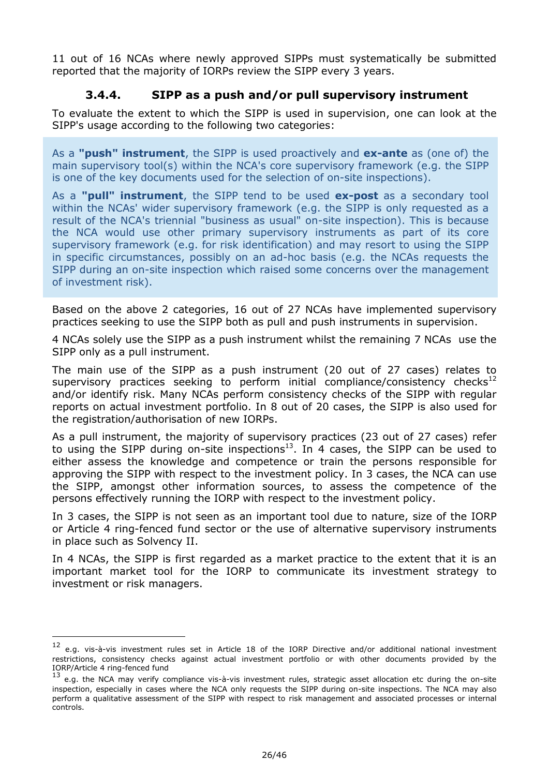11 out of 16 NCAs where newly approved SIPPs must systematically be submitted reported that the majority of IORPs review the SIPP every 3 years.

### **3.4.4. SIPP as a push and/or pull supervisory instrument**

To evaluate the extent to which the SIPP is used in supervision, one can look at the SIPP's usage according to the following two categories:

As a **"push" instrument**, the SIPP is used proactively and **ex-ante** as (one of) the main supervisory tool(s) within the NCA's core supervisory framework (e.g. the SIPP is one of the key documents used for the selection of on-site inspections).

As a **"pull" instrument**, the SIPP tend to be used **ex-post** as a secondary tool within the NCAs' wider supervisory framework (e.g. the SIPP is only requested as a result of the NCA's triennial "business as usual" on-site inspection). This is because the NCA would use other primary supervisory instruments as part of its core supervisory framework (e.g. for risk identification) and may resort to using the SIPP in specific circumstances, possibly on an ad-hoc basis (e.g. the NCAs requests the SIPP during an on-site inspection which raised some concerns over the management of investment risk).

Based on the above 2 categories, 16 out of 27 NCAs have implemented supervisory practices seeking to use the SIPP both as pull and push instruments in supervision.

4 NCAs solely use the SIPP as a push instrument whilst the remaining 7 NCAs use the SIPP only as a pull instrument.

The main use of the SIPP as a push instrument (20 out of 27 cases) relates to supervisory practices seeking to perform initial compliance/consistency checks<sup>12</sup> and/or identify risk. Many NCAs perform consistency checks of the SIPP with regular reports on actual investment portfolio. In 8 out of 20 cases, the SIPP is also used for the registration/authorisation of new IORPs.

As a pull instrument, the majority of supervisory practices (23 out of 27 cases) refer to using the SIPP during on-site inspections<sup>13</sup>. In 4 cases, the SIPP can be used to either assess the knowledge and competence or train the persons responsible for approving the SIPP with respect to the investment policy. In 3 cases, the NCA can use the SIPP, amongst other information sources, to assess the competence of the persons effectively running the IORP with respect to the investment policy.

In 3 cases, the SIPP is not seen as an important tool due to nature, size of the IORP or Article 4 ring-fenced fund sector or the use of alternative supervisory instruments in place such as Solvency II.

In 4 NCAs, the SIPP is first regarded as a market practice to the extent that it is an important market tool for the IORP to communicate its investment strategy to investment or risk managers.

-

<sup>&</sup>lt;sup>12</sup> e.g. vis-à-vis investment rules set in Article 18 of the IORP Directive and/or additional national investment restrictions, consistency checks against actual investment portfolio or with other documents provided by the IORP/Article 4 ring-fenced fund

<sup>&</sup>lt;sup>13</sup> e.g. the NCA may verify compliance vis-à-vis investment rules, strategic asset allocation etc during the on-site inspection, especially in cases where the NCA only requests the SIPP during on-site inspections. The NCA may also perform a qualitative assessment of the SIPP with respect to risk management and associated processes or internal controls.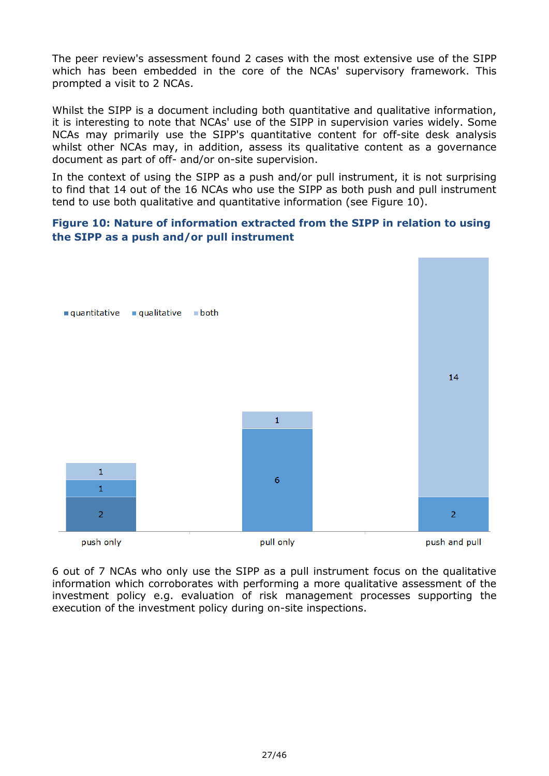The peer review's assessment found 2 cases with the most extensive use of the SIPP which has been embedded in the core of the NCAs' supervisory framework. This prompted a visit to 2 NCAs.

Whilst the SIPP is a document including both quantitative and qualitative information, it is interesting to note that NCAs' use of the SIPP in supervision varies widely. Some NCAs may primarily use the SIPP's quantitative content for off-site desk analysis whilst other NCAs may, in addition, assess its qualitative content as a governance document as part of off- and/or on-site supervision.

In the context of using the SIPP as a push and/or pull instrument, it is not surprising to find that 14 out of the 16 NCAs who use the SIPP as both push and pull instrument tend to use both qualitative and quantitative information (see Figure 10).

### **Figure 10: Nature of information extracted from the SIPP in relation to using the SIPP as a push and/or pull instrument**



6 out of 7 NCAs who only use the SIPP as a pull instrument focus on the qualitative information which corroborates with performing a more qualitative assessment of the investment policy e.g. evaluation of risk management processes supporting the execution of the investment policy during on-site inspections.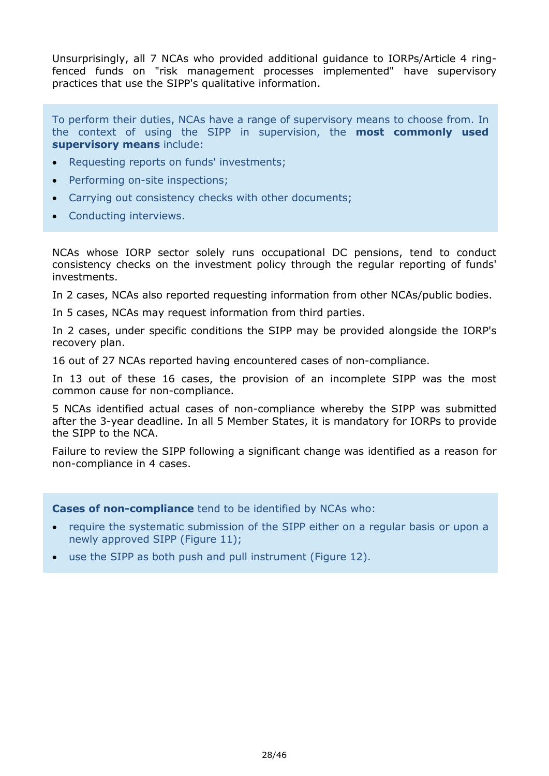Unsurprisingly, all 7 NCAs who provided additional guidance to IORPs/Article 4 ringfenced funds on "risk management processes implemented" have supervisory practices that use the SIPP's qualitative information.

To perform their duties, NCAs have a range of supervisory means to choose from. In the context of using the SIPP in supervision, the **most commonly used supervisory means** include:

- Requesting reports on funds' investments;
- Performing on-site inspections;
- Carrying out consistency checks with other documents;
- Conducting interviews.

NCAs whose IORP sector solely runs occupational DC pensions, tend to conduct consistency checks on the investment policy through the regular reporting of funds' investments.

In 2 cases, NCAs also reported requesting information from other NCAs/public bodies.

In 5 cases, NCAs may request information from third parties.

In 2 cases, under specific conditions the SIPP may be provided alongside the IORP's recovery plan.

16 out of 27 NCAs reported having encountered cases of non-compliance.

In 13 out of these 16 cases, the provision of an incomplete SIPP was the most common cause for non-compliance.

5 NCAs identified actual cases of non-compliance whereby the SIPP was submitted after the 3-year deadline. In all 5 Member States, it is mandatory for IORPs to provide the SIPP to the NCA.

Failure to review the SIPP following a significant change was identified as a reason for non-compliance in 4 cases.

**Cases of non-compliance** tend to be identified by NCAs who:

- require the systematic submission of the SIPP either on a regular basis or upon a newly approved SIPP (Figure 11);
- use the SIPP as both push and pull instrument (Figure 12).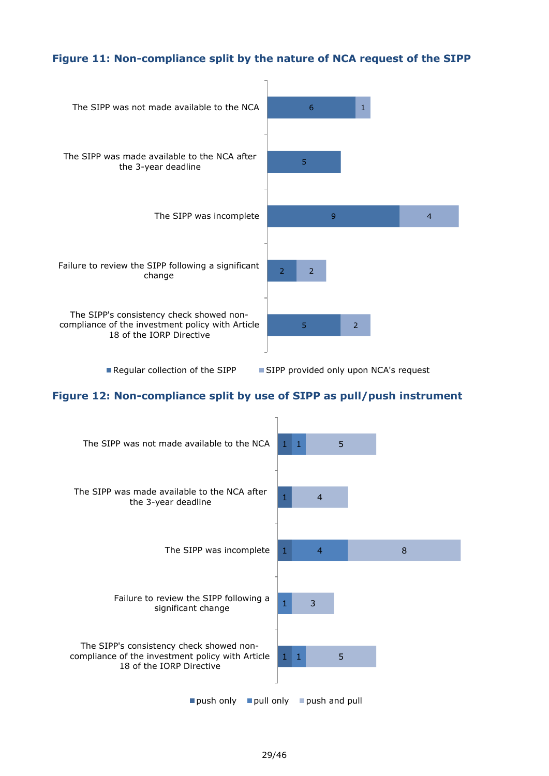### **Figure 11: Non-compliance split by the nature of NCA request of the SIPP**



Reqular collection of the SIPP  $\Box$  SIPP provided only upon NCA's request

#### **Figure 12: Non-compliance split by use of SIPP as pull/push instrument**

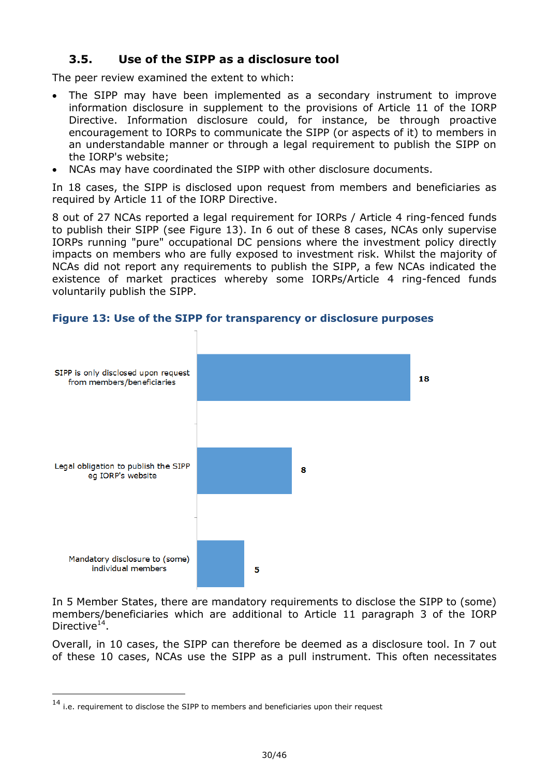### <span id="page-29-0"></span>**3.5. Use of the SIPP as a disclosure tool**

The peer review examined the extent to which:

- The SIPP may have been implemented as a secondary instrument to improve information disclosure in supplement to the provisions of Article 11 of the IORP Directive. Information disclosure could, for instance, be through proactive encouragement to IORPs to communicate the SIPP (or aspects of it) to members in an understandable manner or through a legal requirement to publish the SIPP on the IORP's website;
- NCAs may have coordinated the SIPP with other disclosure documents.

In 18 cases, the SIPP is disclosed upon request from members and beneficiaries as required by Article 11 of the IORP Directive.

8 out of 27 NCAs reported a legal requirement for IORPs / Article 4 ring-fenced funds to publish their SIPP (see Figure 13). In 6 out of these 8 cases, NCAs only supervise IORPs running "pure" occupational DC pensions where the investment policy directly impacts on members who are fully exposed to investment risk. Whilst the majority of NCAs did not report any requirements to publish the SIPP, a few NCAs indicated the existence of market practices whereby some IORPs/Article 4 ring-fenced funds voluntarily publish the SIPP.



#### **Figure 13: Use of the SIPP for transparency or disclosure purposes**

In 5 Member States, there are mandatory requirements to disclose the SIPP to (some) members/beneficiaries which are additional to Article 11 paragraph 3 of the IORP Directive<sup>14</sup>.

Overall, in 10 cases, the SIPP can therefore be deemed as a disclosure tool. In 7 out of these 10 cases, NCAs use the SIPP as a pull instrument. This often necessitates

-

<sup>14</sup> i.e. requirement to disclose the SIPP to members and beneficiaries upon their request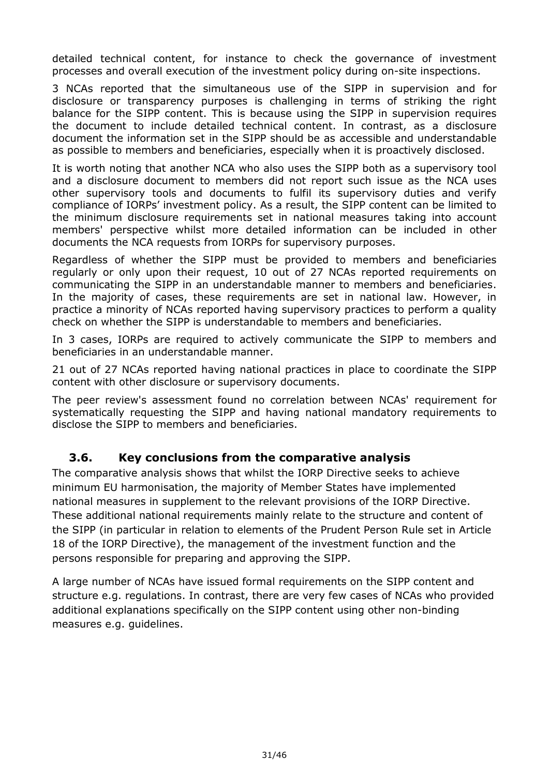detailed technical content, for instance to check the governance of investment processes and overall execution of the investment policy during on-site inspections.

3 NCAs reported that the simultaneous use of the SIPP in supervision and for disclosure or transparency purposes is challenging in terms of striking the right balance for the SIPP content. This is because using the SIPP in supervision requires the document to include detailed technical content. In contrast, as a disclosure document the information set in the SIPP should be as accessible and understandable as possible to members and beneficiaries, especially when it is proactively disclosed.

It is worth noting that another NCA who also uses the SIPP both as a supervisory tool and a disclosure document to members did not report such issue as the NCA uses other supervisory tools and documents to fulfil its supervisory duties and verify compliance of IORPs' investment policy. As a result, the SIPP content can be limited to the minimum disclosure requirements set in national measures taking into account members' perspective whilst more detailed information can be included in other documents the NCA requests from IORPs for supervisory purposes.

Regardless of whether the SIPP must be provided to members and beneficiaries regularly or only upon their request, 10 out of 27 NCAs reported requirements on communicating the SIPP in an understandable manner to members and beneficiaries. In the majority of cases, these requirements are set in national law. However, in practice a minority of NCAs reported having supervisory practices to perform a quality check on whether the SIPP is understandable to members and beneficiaries.

In 3 cases, IORPs are required to actively communicate the SIPP to members and beneficiaries in an understandable manner.

21 out of 27 NCAs reported having national practices in place to coordinate the SIPP content with other disclosure or supervisory documents.

The peer review's assessment found no correlation between NCAs' requirement for systematically requesting the SIPP and having national mandatory requirements to disclose the SIPP to members and beneficiaries.

### <span id="page-30-0"></span>**3.6. Key conclusions from the comparative analysis**

The comparative analysis shows that whilst the IORP Directive seeks to achieve minimum EU harmonisation, the majority of Member States have implemented national measures in supplement to the relevant provisions of the IORP Directive. These additional national requirements mainly relate to the structure and content of the SIPP (in particular in relation to elements of the Prudent Person Rule set in Article 18 of the IORP Directive), the management of the investment function and the persons responsible for preparing and approving the SIPP.

A large number of NCAs have issued formal requirements on the SIPP content and structure e.g. regulations. In contrast, there are very few cases of NCAs who provided additional explanations specifically on the SIPP content using other non-binding measures e.g. guidelines.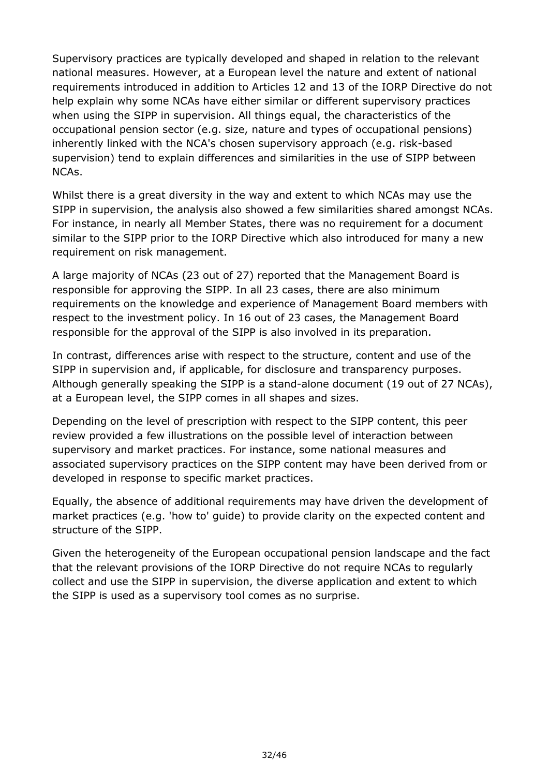Supervisory practices are typically developed and shaped in relation to the relevant national measures. However, at a European level the nature and extent of national requirements introduced in addition to Articles 12 and 13 of the IORP Directive do not help explain why some NCAs have either similar or different supervisory practices when using the SIPP in supervision. All things equal, the characteristics of the occupational pension sector (e.g. size, nature and types of occupational pensions) inherently linked with the NCA's chosen supervisory approach (e.g. risk-based supervision) tend to explain differences and similarities in the use of SIPP between NCAs.

Whilst there is a great diversity in the way and extent to which NCAs may use the SIPP in supervision, the analysis also showed a few similarities shared amongst NCAs. For instance, in nearly all Member States, there was no requirement for a document similar to the SIPP prior to the IORP Directive which also introduced for many a new requirement on risk management.

A large majority of NCAs (23 out of 27) reported that the Management Board is responsible for approving the SIPP. In all 23 cases, there are also minimum requirements on the knowledge and experience of Management Board members with respect to the investment policy. In 16 out of 23 cases, the Management Board responsible for the approval of the SIPP is also involved in its preparation.

In contrast, differences arise with respect to the structure, content and use of the SIPP in supervision and, if applicable, for disclosure and transparency purposes. Although generally speaking the SIPP is a stand-alone document (19 out of 27 NCAs), at a European level, the SIPP comes in all shapes and sizes.

Depending on the level of prescription with respect to the SIPP content, this peer review provided a few illustrations on the possible level of interaction between supervisory and market practices. For instance, some national measures and associated supervisory practices on the SIPP content may have been derived from or developed in response to specific market practices.

Equally, the absence of additional requirements may have driven the development of market practices (e.g. 'how to' guide) to provide clarity on the expected content and structure of the SIPP.

Given the heterogeneity of the European occupational pension landscape and the fact that the relevant provisions of the IORP Directive do not require NCAs to regularly collect and use the SIPP in supervision, the diverse application and extent to which the SIPP is used as a supervisory tool comes as no surprise.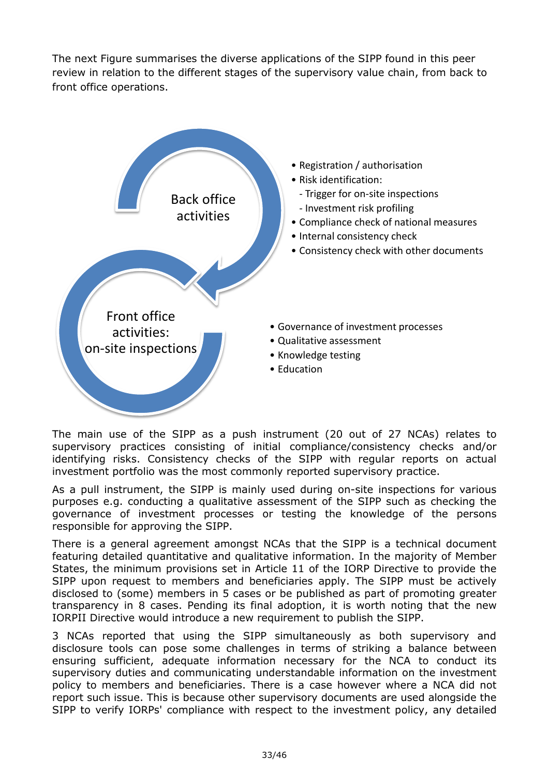The next Figure summarises the diverse applications of the SIPP found in this peer review in relation to the different stages of the supervisory value chain, from back to front office operations.



The main use of the SIPP as a push instrument (20 out of 27 NCAs) relates to supervisory practices consisting of initial compliance/consistency checks and/or identifying risks. Consistency checks of the SIPP with regular reports on actual investment portfolio was the most commonly reported supervisory practice.

As a pull instrument, the SIPP is mainly used during on-site inspections for various purposes e.g. conducting a qualitative assessment of the SIPP such as checking the governance of investment processes or testing the knowledge of the persons responsible for approving the SIPP.

There is a general agreement amongst NCAs that the SIPP is a technical document featuring detailed quantitative and qualitative information. In the majority of Member States, the minimum provisions set in Article 11 of the IORP Directive to provide the SIPP upon request to members and beneficiaries apply. The SIPP must be actively disclosed to (some) members in 5 cases or be published as part of promoting greater transparency in 8 cases. Pending its final adoption, it is worth noting that the new IORPII Directive would introduce a new requirement to publish the SIPP.

3 NCAs reported that using the SIPP simultaneously as both supervisory and disclosure tools can pose some challenges in terms of striking a balance between ensuring sufficient, adequate information necessary for the NCA to conduct its supervisory duties and communicating understandable information on the investment policy to members and beneficiaries. There is a case however where a NCA did not report such issue. This is because other supervisory documents are used alongside the SIPP to verify IORPs' compliance with respect to the investment policy, any detailed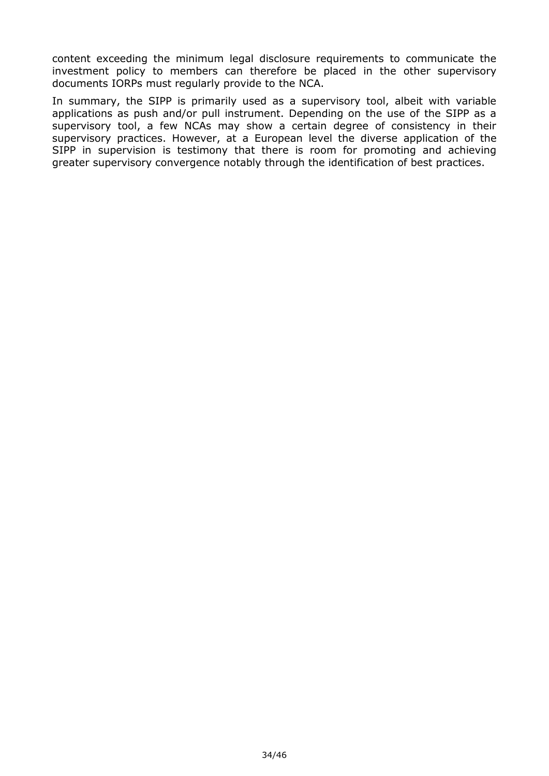content exceeding the minimum legal disclosure requirements to communicate the investment policy to members can therefore be placed in the other supervisory documents IORPs must regularly provide to the NCA.

In summary, the SIPP is primarily used as a supervisory tool, albeit with variable applications as push and/or pull instrument. Depending on the use of the SIPP as a supervisory tool, a few NCAs may show a certain degree of consistency in their supervisory practices. However, at a European level the diverse application of the SIPP in supervision is testimony that there is room for promoting and achieving greater supervisory convergence notably through the identification of best practices.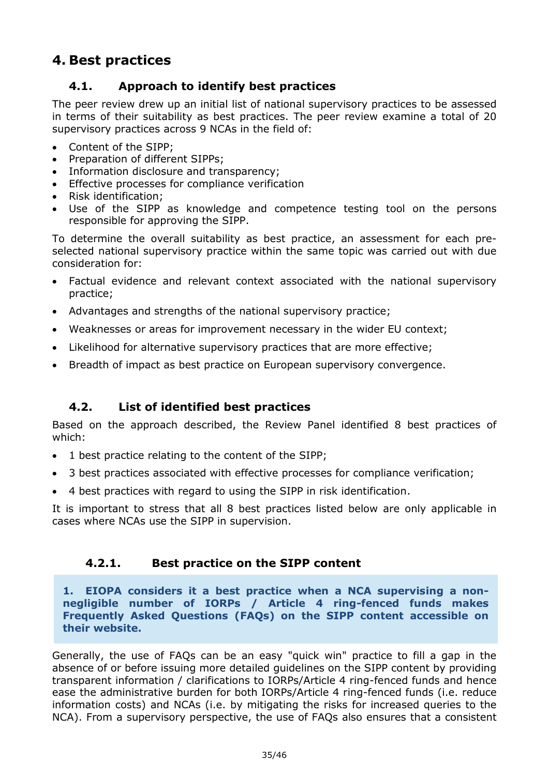# <span id="page-34-1"></span><span id="page-34-0"></span>**4. Best practices**

### **4.1. Approach to identify best practices**

The peer review drew up an initial list of national supervisory practices to be assessed in terms of their suitability as best practices. The peer review examine a total of 20 supervisory practices across 9 NCAs in the field of:

- Content of the SIPP:
- Preparation of different SIPPs;
- Information disclosure and transparency;
- **Effective processes for compliance verification**
- Risk identification;
- Use of the SIPP as knowledge and competence testing tool on the persons responsible for approving the SIPP.

To determine the overall suitability as best practice, an assessment for each preselected national supervisory practice within the same topic was carried out with due consideration for:

- Factual evidence and relevant context associated with the national supervisory practice;
- Advantages and strengths of the national supervisory practice;
- Weaknesses or areas for improvement necessary in the wider EU context;
- Likelihood for alternative supervisory practices that are more effective;
- Breadth of impact as best practice on European supervisory convergence.

### <span id="page-34-2"></span>**4.2. List of identified best practices**

Based on the approach described, the Review Panel identified 8 best practices of which:

- 1 best practice relating to the content of the SIPP;
- 3 best practices associated with effective processes for compliance verification;
- 4 best practices with regard to using the SIPP in risk identification.

It is important to stress that all 8 best practices listed below are only applicable in cases where NCAs use the SIPP in supervision.

### **4.2.1. Best practice on the SIPP content**

**1. EIOPA considers it a best practice when a NCA supervising a nonnegligible number of IORPs / Article 4 ring-fenced funds makes Frequently Asked Questions (FAQs) on the SIPP content accessible on their website.**

Generally, the use of FAQs can be an easy "quick win" practice to fill a gap in the absence of or before issuing more detailed guidelines on the SIPP content by providing transparent information / clarifications to IORPs/Article 4 ring-fenced funds and hence ease the administrative burden for both IORPs/Article 4 ring-fenced funds (i.e. reduce information costs) and NCAs (i.e. by mitigating the risks for increased queries to the NCA). From a supervisory perspective, the use of FAQs also ensures that a consistent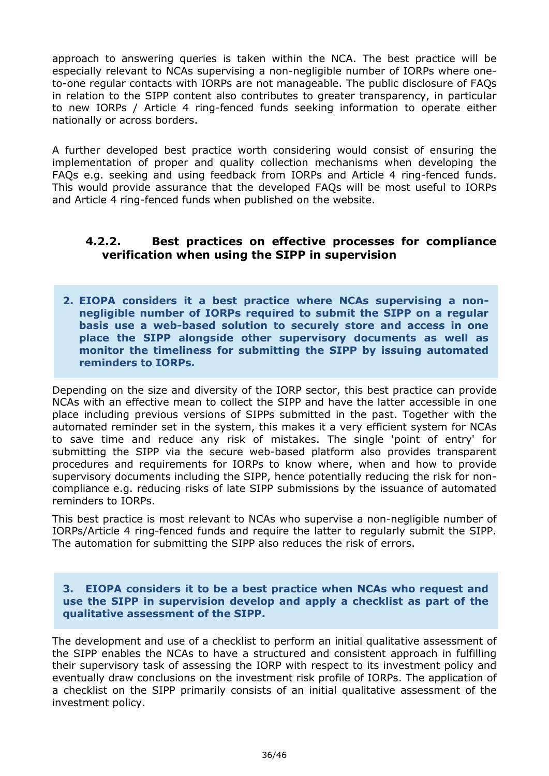approach to answering queries is taken within the NCA. The best practice will be especially relevant to NCAs supervising a non-negligible number of IORPs where oneto-one regular contacts with IORPs are not manageable. The public disclosure of FAQs in relation to the SIPP content also contributes to greater transparency, in particular to new IORPs / Article 4 ring-fenced funds seeking information to operate either nationally or across borders.

A further developed best practice worth considering would consist of ensuring the implementation of proper and quality collection mechanisms when developing the FAQs e.g. seeking and using feedback from IORPs and Article 4 ring-fenced funds. This would provide assurance that the developed FAQs will be most useful to IORPs and Article 4 ring-fenced funds when published on the website.

### **4.2.2. Best practices on effective processes for compliance verification when using the SIPP in supervision**

**2. EIOPA considers it a best practice where NCAs supervising a nonnegligible number of IORPs required to submit the SIPP on a regular basis use a web-based solution to securely store and access in one place the SIPP alongside other supervisory documents as well as monitor the timeliness for submitting the SIPP by issuing automated reminders to IORPs.**

Depending on the size and diversity of the IORP sector, this best practice can provide NCAs with an effective mean to collect the SIPP and have the latter accessible in one place including previous versions of SIPPs submitted in the past. Together with the automated reminder set in the system, this makes it a very efficient system for NCAs to save time and reduce any risk of mistakes. The single 'point of entry' for submitting the SIPP via the secure web-based platform also provides transparent procedures and requirements for IORPs to know where, when and how to provide supervisory documents including the SIPP, hence potentially reducing the risk for noncompliance e.g. reducing risks of late SIPP submissions by the issuance of automated reminders to IORPs.

This best practice is most relevant to NCAs who supervise a non-negligible number of IORPs/Article 4 ring-fenced funds and require the latter to regularly submit the SIPP. The automation for submitting the SIPP also reduces the risk of errors.

#### **3. EIOPA considers it to be a best practice when NCAs who request and use the SIPP in supervision develop and apply a checklist as part of the qualitative assessment of the SIPP.**

The development and use of a checklist to perform an initial qualitative assessment of the SIPP enables the NCAs to have a structured and consistent approach in fulfilling their supervisory task of assessing the IORP with respect to its investment policy and eventually draw conclusions on the investment risk profile of IORPs. The application of a checklist on the SIPP primarily consists of an initial qualitative assessment of the investment policy.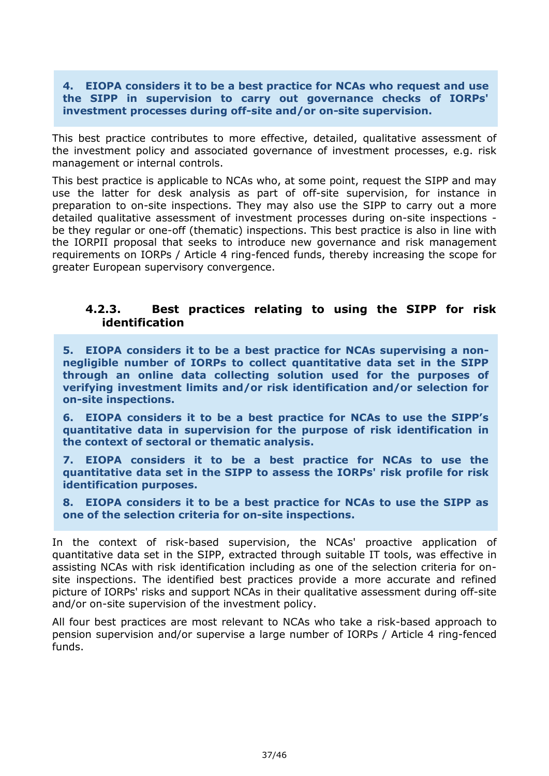#### **4. EIOPA considers it to be a best practice for NCAs who request and use the SIPP in supervision to carry out governance checks of IORPs' investment processes during off-site and/or on-site supervision.**

This best practice contributes to more effective, detailed, qualitative assessment of the investment policy and associated governance of investment processes, e.g. risk management or internal controls.

This best practice is applicable to NCAs who, at some point, request the SIPP and may use the latter for desk analysis as part of off-site supervision, for instance in preparation to on-site inspections. They may also use the SIPP to carry out a more detailed qualitative assessment of investment processes during on-site inspections be they regular or one-off (thematic) inspections. This best practice is also in line with the IORPII proposal that seeks to introduce new governance and risk management requirements on IORPs / Article 4 ring-fenced funds, thereby increasing the scope for greater European supervisory convergence.

### **4.2.3. Best practices relating to using the SIPP for risk identification**

**5. EIOPA considers it to be a best practice for NCAs supervising a nonnegligible number of IORPs to collect quantitative data set in the SIPP through an online data collecting solution used for the purposes of verifying investment limits and/or risk identification and/or selection for on-site inspections.**

**6. EIOPA considers it to be a best practice for NCAs to use the SIPP's quantitative data in supervision for the purpose of risk identification in the context of sectoral or thematic analysis.**

**7. EIOPA considers it to be a best practice for NCAs to use the quantitative data set in the SIPP to assess the IORPs' risk profile for risk identification purposes.**

**8. EIOPA considers it to be a best practice for NCAs to use the SIPP as one of the selection criteria for on-site inspections.**

In the context of risk-based supervision, the NCAs' proactive application of quantitative data set in the SIPP, extracted through suitable IT tools, was effective in assisting NCAs with risk identification including as one of the selection criteria for onsite inspections. The identified best practices provide a more accurate and refined picture of IORPs' risks and support NCAs in their qualitative assessment during off-site and/or on-site supervision of the investment policy.

All four best practices are most relevant to NCAs who take a risk-based approach to pension supervision and/or supervise a large number of IORPs / Article 4 ring-fenced funds.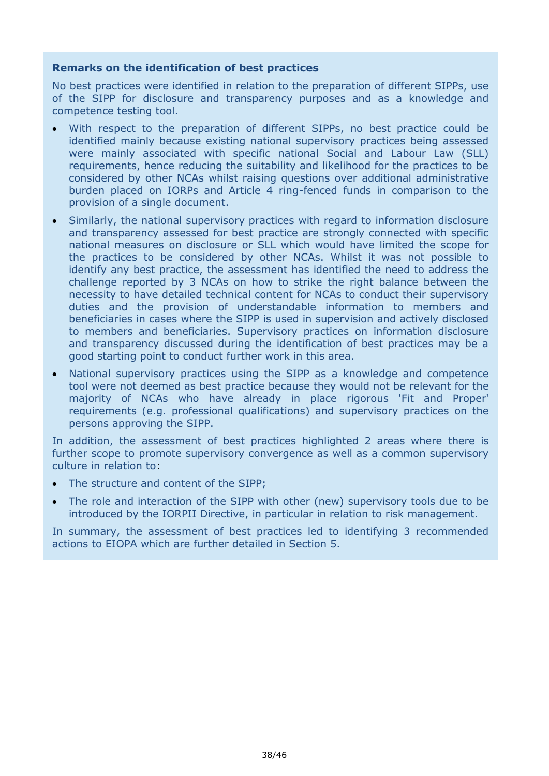#### **Remarks on the identification of best practices**

No best practices were identified in relation to the preparation of different SIPPs, use of the SIPP for disclosure and transparency purposes and as a knowledge and competence testing tool.

- With respect to the preparation of different SIPPs, no best practice could be identified mainly because existing national supervisory practices being assessed were mainly associated with specific national Social and Labour Law (SLL) requirements, hence reducing the suitability and likelihood for the practices to be considered by other NCAs whilst raising questions over additional administrative burden placed on IORPs and Article 4 ring-fenced funds in comparison to the provision of a single document.
- Similarly, the national supervisory practices with regard to information disclosure and transparency assessed for best practice are strongly connected with specific national measures on disclosure or SLL which would have limited the scope for the practices to be considered by other NCAs. Whilst it was not possible to identify any best practice, the assessment has identified the need to address the challenge reported by 3 NCAs on how to strike the right balance between the necessity to have detailed technical content for NCAs to conduct their supervisory duties and the provision of understandable information to members and beneficiaries in cases where the SIPP is used in supervision and actively disclosed to members and beneficiaries. Supervisory practices on information disclosure and transparency discussed during the identification of best practices may be a good starting point to conduct further work in this area.
- National supervisory practices using the SIPP as a knowledge and competence tool were not deemed as best practice because they would not be relevant for the majority of NCAs who have already in place rigorous 'Fit and Proper' requirements (e.g. professional qualifications) and supervisory practices on the persons approving the SIPP.

In addition, the assessment of best practices highlighted 2 areas where there is further scope to promote supervisory convergence as well as a common supervisory culture in relation to:

- The structure and content of the SIPP;
- The role and interaction of the SIPP with other (new) supervisory tools due to be introduced by the IORPII Directive, in particular in relation to risk management.

In summary, the assessment of best practices led to identifying 3 recommended actions to EIOPA which are further detailed in Section 5.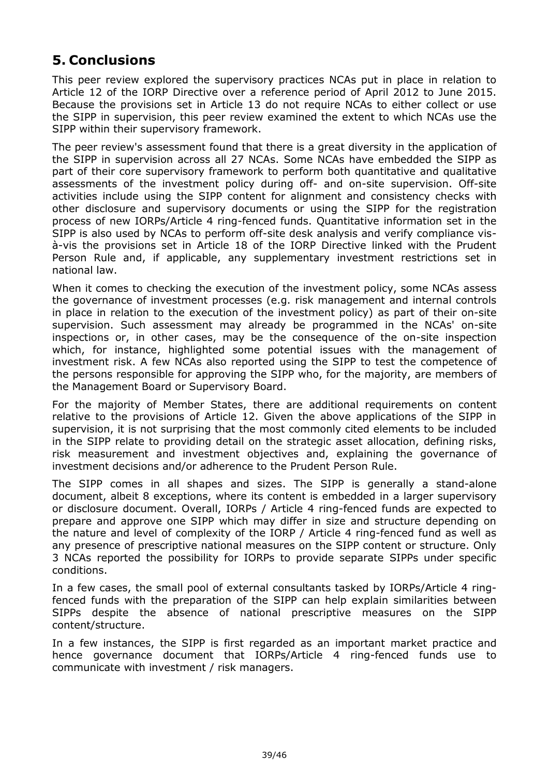# <span id="page-38-0"></span>**5. Conclusions**

This peer review explored the supervisory practices NCAs put in place in relation to Article 12 of the IORP Directive over a reference period of April 2012 to June 2015. Because the provisions set in Article 13 do not require NCAs to either collect or use the SIPP in supervision, this peer review examined the extent to which NCAs use the SIPP within their supervisory framework.

The peer review's assessment found that there is a great diversity in the application of the SIPP in supervision across all 27 NCAs. Some NCAs have embedded the SIPP as part of their core supervisory framework to perform both quantitative and qualitative assessments of the investment policy during off- and on-site supervision. Off-site activities include using the SIPP content for alignment and consistency checks with other disclosure and supervisory documents or using the SIPP for the registration process of new IORPs/Article 4 ring-fenced funds. Quantitative information set in the SIPP is also used by NCAs to perform off-site desk analysis and verify compliance visà-vis the provisions set in Article 18 of the IORP Directive linked with the Prudent Person Rule and, if applicable, any supplementary investment restrictions set in national law.

When it comes to checking the execution of the investment policy, some NCAs assess the governance of investment processes (e.g. risk management and internal controls in place in relation to the execution of the investment policy) as part of their on-site supervision. Such assessment may already be programmed in the NCAs' on-site inspections or, in other cases, may be the consequence of the on-site inspection which, for instance, highlighted some potential issues with the management of investment risk. A few NCAs also reported using the SIPP to test the competence of the persons responsible for approving the SIPP who, for the majority, are members of the Management Board or Supervisory Board.

For the majority of Member States, there are additional requirements on content relative to the provisions of Article 12. Given the above applications of the SIPP in supervision, it is not surprising that the most commonly cited elements to be included in the SIPP relate to providing detail on the strategic asset allocation, defining risks, risk measurement and investment objectives and, explaining the governance of investment decisions and/or adherence to the Prudent Person Rule.

The SIPP comes in all shapes and sizes. The SIPP is generally a stand-alone document, albeit 8 exceptions, where its content is embedded in a larger supervisory or disclosure document. Overall, IORPs / Article 4 ring-fenced funds are expected to prepare and approve one SIPP which may differ in size and structure depending on the nature and level of complexity of the IORP / Article 4 ring-fenced fund as well as any presence of prescriptive national measures on the SIPP content or structure. Only 3 NCAs reported the possibility for IORPs to provide separate SIPPs under specific conditions.

In a few cases, the small pool of external consultants tasked by IORPs/Article 4 ringfenced funds with the preparation of the SIPP can help explain similarities between SIPPs despite the absence of national prescriptive measures on the SIPP content/structure.

In a few instances, the SIPP is first regarded as an important market practice and hence governance document that IORPs/Article 4 ring-fenced funds use to communicate with investment / risk managers.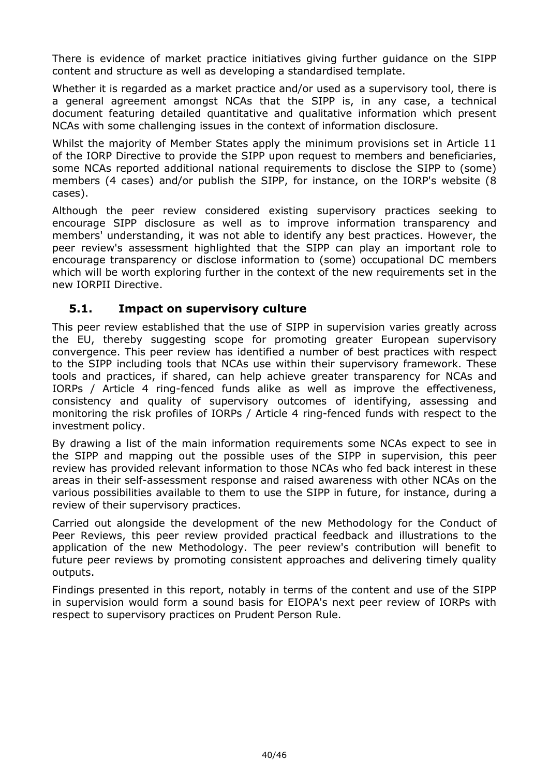There is evidence of market practice initiatives giving further guidance on the SIPP content and structure as well as developing a standardised template.

Whether it is regarded as a market practice and/or used as a supervisory tool, there is a general agreement amongst NCAs that the SIPP is, in any case, a technical document featuring detailed quantitative and qualitative information which present NCAs with some challenging issues in the context of information disclosure.

Whilst the majority of Member States apply the minimum provisions set in Article 11 of the IORP Directive to provide the SIPP upon request to members and beneficiaries, some NCAs reported additional national requirements to disclose the SIPP to (some) members (4 cases) and/or publish the SIPP, for instance, on the IORP's website (8 cases).

Although the peer review considered existing supervisory practices seeking to encourage SIPP disclosure as well as to improve information transparency and members' understanding, it was not able to identify any best practices. However, the peer review's assessment highlighted that the SIPP can play an important role to encourage transparency or disclose information to (some) occupational DC members which will be worth exploring further in the context of the new requirements set in the new IORPII Directive.

### <span id="page-39-0"></span>**5.1. Impact on supervisory culture**

This peer review established that the use of SIPP in supervision varies greatly across the EU, thereby suggesting scope for promoting greater European supervisory convergence. This peer review has identified a number of best practices with respect to the SIPP including tools that NCAs use within their supervisory framework. These tools and practices, if shared, can help achieve greater transparency for NCAs and IORPs / Article 4 ring-fenced funds alike as well as improve the effectiveness, consistency and quality of supervisory outcomes of identifying, assessing and monitoring the risk profiles of IORPs / Article 4 ring-fenced funds with respect to the investment policy.

By drawing a list of the main information requirements some NCAs expect to see in the SIPP and mapping out the possible uses of the SIPP in supervision, this peer review has provided relevant information to those NCAs who fed back interest in these areas in their self-assessment response and raised awareness with other NCAs on the various possibilities available to them to use the SIPP in future, for instance, during a review of their supervisory practices.

Carried out alongside the development of the new Methodology for the Conduct of Peer Reviews, this peer review provided practical feedback and illustrations to the application of the new Methodology. The peer review's contribution will benefit to future peer reviews by promoting consistent approaches and delivering timely quality outputs.

Findings presented in this report, notably in terms of the content and use of the SIPP in supervision would form a sound basis for EIOPA's next peer review of IORPs with respect to supervisory practices on Prudent Person Rule.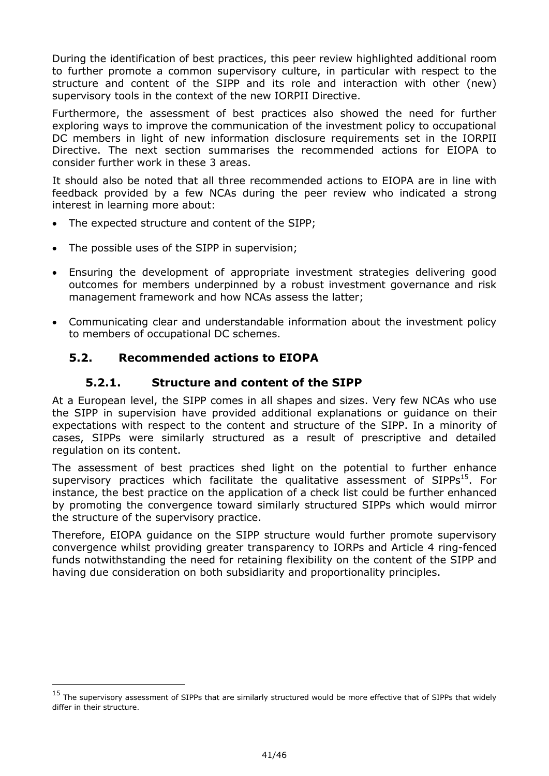During the identification of best practices, this peer review highlighted additional room to further promote a common supervisory culture, in particular with respect to the structure and content of the SIPP and its role and interaction with other (new) supervisory tools in the context of the new IORPII Directive.

Furthermore, the assessment of best practices also showed the need for further exploring ways to improve the communication of the investment policy to occupational DC members in light of new information disclosure requirements set in the IORPII Directive. The next section summarises the recommended actions for EIOPA to consider further work in these 3 areas.

It should also be noted that all three recommended actions to EIOPA are in line with feedback provided by a few NCAs during the peer review who indicated a strong interest in learning more about:

- The expected structure and content of the SIPP;
- The possible uses of the SIPP in supervision;
- Ensuring the development of appropriate investment strategies delivering good outcomes for members underpinned by a robust investment governance and risk management framework and how NCAs assess the latter;
- Communicating clear and understandable information about the investment policy to members of occupational DC schemes.

### <span id="page-40-0"></span>**5.2. Recommended actions to EIOPA**

-

### **5.2.1. Structure and content of the SIPP**

At a European level, the SIPP comes in all shapes and sizes. Very few NCAs who use the SIPP in supervision have provided additional explanations or guidance on their expectations with respect to the content and structure of the SIPP. In a minority of cases, SIPPs were similarly structured as a result of prescriptive and detailed regulation on its content.

The assessment of best practices shed light on the potential to further enhance supervisory practices which facilitate the qualitative assessment of SIPPs<sup>15</sup>. For instance, the best practice on the application of a check list could be further enhanced by promoting the convergence toward similarly structured SIPPs which would mirror the structure of the supervisory practice.

Therefore, EIOPA guidance on the SIPP structure would further promote supervisory convergence whilst providing greater transparency to IORPs and Article 4 ring-fenced funds notwithstanding the need for retaining flexibility on the content of the SIPP and having due consideration on both subsidiarity and proportionality principles.

 $15$  The supervisory assessment of SIPPs that are similarly structured would be more effective that of SIPPs that widely differ in their structure.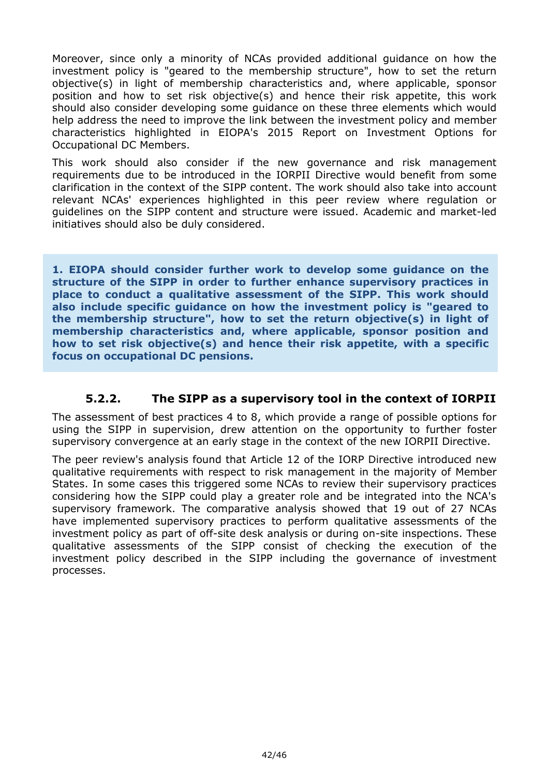Moreover, since only a minority of NCAs provided additional guidance on how the investment policy is "geared to the membership structure", how to set the return objective(s) in light of membership characteristics and, where applicable, sponsor position and how to set risk objective(s) and hence their risk appetite, this work should also consider developing some guidance on these three elements which would help address the need to improve the link between the investment policy and member characteristics highlighted in EIOPA's 2015 Report on Investment Options for Occupational DC Members.

This work should also consider if the new governance and risk management requirements due to be introduced in the IORPII Directive would benefit from some clarification in the context of the SIPP content. The work should also take into account relevant NCAs' experiences highlighted in this peer review where regulation or guidelines on the SIPP content and structure were issued. Academic and market-led initiatives should also be duly considered.

**1. EIOPA should consider further work to develop some guidance on the structure of the SIPP in order to further enhance supervisory practices in place to conduct a qualitative assessment of the SIPP. This work should also include specific guidance on how the investment policy is "geared to the membership structure", how to set the return objective(s) in light of membership characteristics and, where applicable, sponsor position and how to set risk objective(s) and hence their risk appetite, with a specific focus on occupational DC pensions.**

### **5.2.2. The SIPP as a supervisory tool in the context of IORPII**

The assessment of best practices 4 to 8, which provide a range of possible options for using the SIPP in supervision, drew attention on the opportunity to further foster supervisory convergence at an early stage in the context of the new IORPII Directive.

The peer review's analysis found that Article 12 of the IORP Directive introduced new qualitative requirements with respect to risk management in the majority of Member States. In some cases this triggered some NCAs to review their supervisory practices considering how the SIPP could play a greater role and be integrated into the NCA's supervisory framework. The comparative analysis showed that 19 out of 27 NCAs have implemented supervisory practices to perform qualitative assessments of the investment policy as part of off-site desk analysis or during on-site inspections. These qualitative assessments of the SIPP consist of checking the execution of the investment policy described in the SIPP including the governance of investment processes.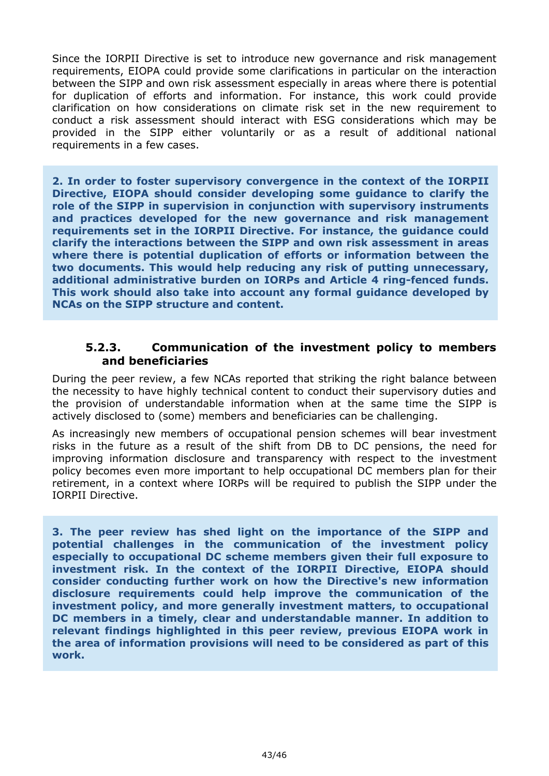Since the IORPII Directive is set to introduce new governance and risk management requirements, EIOPA could provide some clarifications in particular on the interaction between the SIPP and own risk assessment especially in areas where there is potential for duplication of efforts and information. For instance, this work could provide clarification on how considerations on climate risk set in the new requirement to conduct a risk assessment should interact with ESG considerations which may be provided in the SIPP either voluntarily or as a result of additional national requirements in a few cases.

**2. In order to foster supervisory convergence in the context of the IORPII Directive, EIOPA should consider developing some guidance to clarify the role of the SIPP in supervision in conjunction with supervisory instruments and practices developed for the new governance and risk management requirements set in the IORPII Directive. For instance, the guidance could clarify the interactions between the SIPP and own risk assessment in areas where there is potential duplication of efforts or information between the two documents. This would help reducing any risk of putting unnecessary, additional administrative burden on IORPs and Article 4 ring-fenced funds. This work should also take into account any formal guidance developed by NCAs on the SIPP structure and content.**

### **5.2.3. Communication of the investment policy to members and beneficiaries**

During the peer review, a few NCAs reported that striking the right balance between the necessity to have highly technical content to conduct their supervisory duties and the provision of understandable information when at the same time the SIPP is actively disclosed to (some) members and beneficiaries can be challenging.

As increasingly new members of occupational pension schemes will bear investment risks in the future as a result of the shift from DB to DC pensions, the need for improving information disclosure and transparency with respect to the investment policy becomes even more important to help occupational DC members plan for their retirement, in a context where IORPs will be required to publish the SIPP under the IORPII Directive.

**3. The peer review has shed light on the importance of the SIPP and potential challenges in the communication of the investment policy especially to occupational DC scheme members given their full exposure to investment risk. In the context of the IORPII Directive, EIOPA should consider conducting further work on how the Directive's new information disclosure requirements could help improve the communication of the investment policy, and more generally investment matters, to occupational DC members in a timely, clear and understandable manner. In addition to relevant findings highlighted in this peer review, previous EIOPA work in the area of information provisions will need to be considered as part of this work.**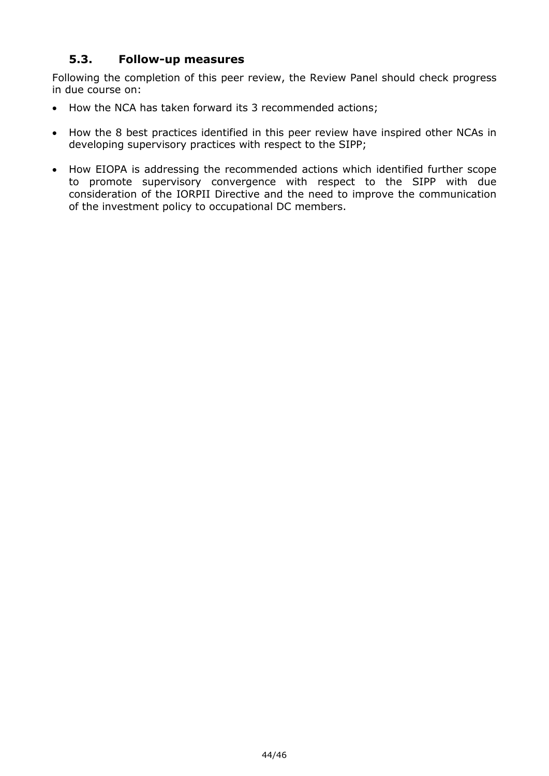### <span id="page-43-0"></span>**5.3. Follow-up measures**

Following the completion of this peer review, the Review Panel should check progress in due course on:

- How the NCA has taken forward its 3 recommended actions;
- How the 8 best practices identified in this peer review have inspired other NCAs in developing supervisory practices with respect to the SIPP;
- How EIOPA is addressing the recommended actions which identified further scope to promote supervisory convergence with respect to the SIPP with due consideration of the IORPII Directive and the need to improve the communication of the investment policy to occupational DC members.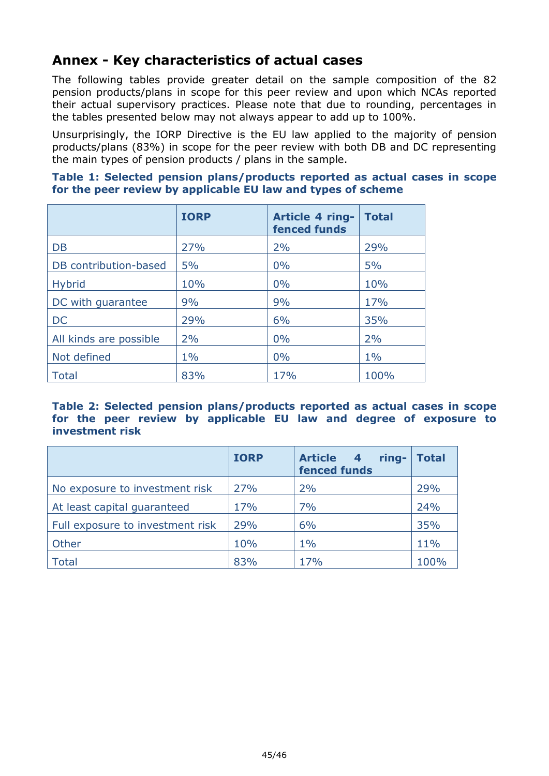# <span id="page-44-0"></span>**Annex - Key characteristics of actual cases**

The following tables provide greater detail on the sample composition of the 82 pension products/plans in scope for this peer review and upon which NCAs reported their actual supervisory practices. Please note that due to rounding, percentages in the tables presented below may not always appear to add up to 100%.

Unsurprisingly, the IORP Directive is the EU law applied to the majority of pension products/plans (83%) in scope for the peer review with both DB and DC representing the main types of pension products / plans in the sample.

| Table 1: Selected pension plans/products reported as actual cases in scope |  |  |  |  |  |
|----------------------------------------------------------------------------|--|--|--|--|--|
| for the peer review by applicable EU law and types of scheme               |  |  |  |  |  |

|                        | <b>IORP</b> | Article 4 ring-<br>fenced funds | <b>Total</b> |
|------------------------|-------------|---------------------------------|--------------|
| <b>DB</b>              | 27%         | 2%                              | 29%          |
| DB contribution-based  | 5%          | 0%                              | 5%           |
| <b>Hybrid</b>          | 10%         | 0%                              | 10%          |
| DC with guarantee      | 9%          | 9%                              | 17%          |
| <b>DC</b>              | 29%         | 6%                              | 35%          |
| All kinds are possible | 2%          | 0%                              | 2%           |
| Not defined            | $1\%$       | 0%                              | $1\%$        |
| <b>Total</b>           | 83%         | 17%                             | 100%         |

#### **Table 2: Selected pension plans/products reported as actual cases in scope for the peer review by applicable EU law and degree of exposure to investment risk**

|                                  | <b>IORP</b> | Article 4<br>ring-<br><b>fenced funds</b> | <b>Total</b> |
|----------------------------------|-------------|-------------------------------------------|--------------|
| No exposure to investment risk   | 27%         | 2%                                        | 29%          |
| At least capital guaranteed      | 17%         | 7%                                        | 24%          |
| Full exposure to investment risk | 29%         | 6%                                        | 35%          |
| Other                            | 10%         | $1\%$                                     | 11%          |
| <b>Total</b>                     | 83%         | 17%                                       | 100%         |